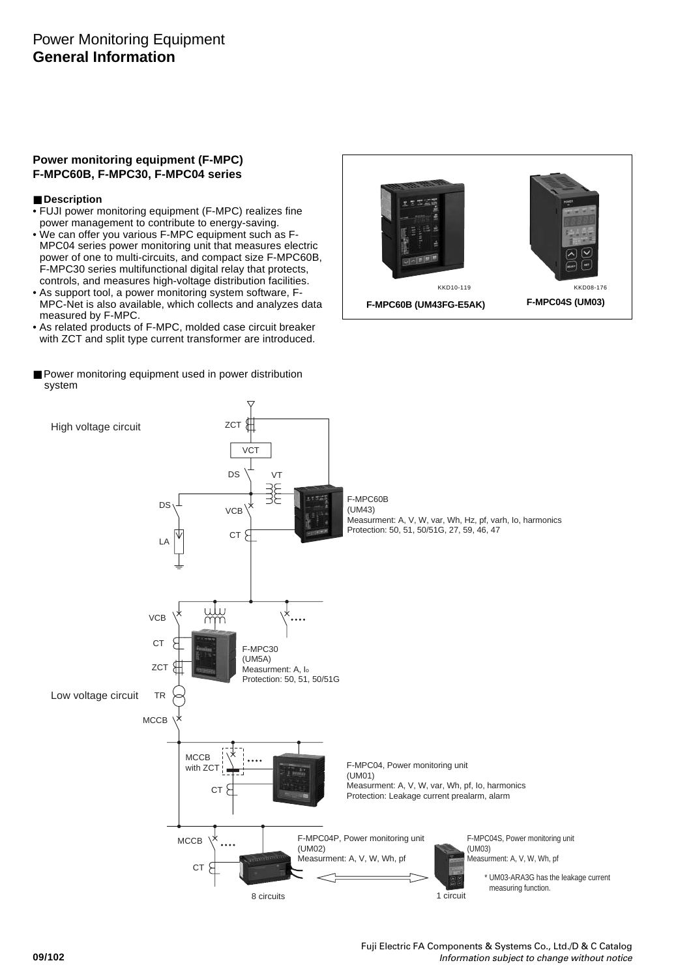## **Power monitoring equipment (F-MPC) F-MPC60B, F-MPC30, F-MPC04 series**

## ■ Description

- FUJI power monitoring equipment (F-MPC) realizes fine power management to contribute to energy-saving.
- We can offer you various F-MPC equipment such as F-MPC04 series power monitoring unit that measures electric power of one to multi-circuits, and compact size F-MPC60B, F-MPC30 series multifunctional digital relay that protects, controls, and measures high-voltage distribution facilities.
- As support tool, a power monitoring system software, F-MPC-Net is also available, which collects and analyzes data measured by F-MPC.
- As related products of F-MPC, molded case circuit breaker with ZCT and split type current transformer are introduced.
- Power monitoring equipment used in power distribution system



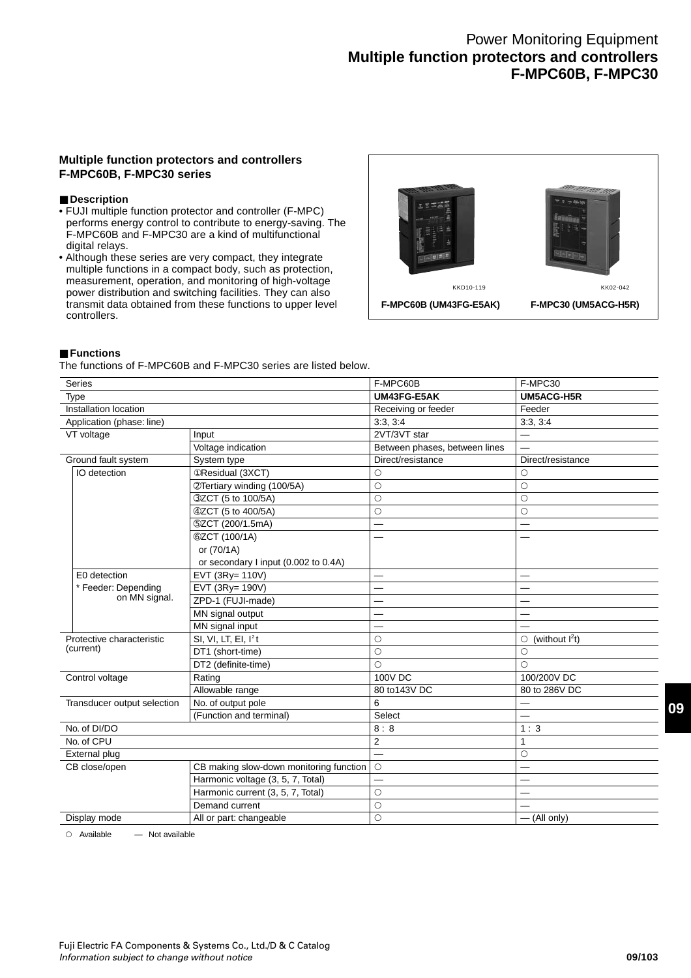## **Multiple function protectors and controllers F-MPC60B, F-MPC30 series**

## ■ Description

- FUJI multiple function protector and controller (F-MPC) performs energy control to contribute to energy-saving. The F-MPC60B and F-MPC30 are a kind of multifunctional digital relays.
- Although these series are very compact, they integrate multiple functions in a compact body, such as protection, measurement, operation, and monitoring of high-voltage power distribution and switching facilities. They can also transmit data obtained from these functions to upper level controllers.



#### ■ **Functions**

The functions of F-MPC60B and F-MPC30 series are listed below.

| Series                                                        |                                         | F-MPC60B                      | F-MPC30                      |
|---------------------------------------------------------------|-----------------------------------------|-------------------------------|------------------------------|
| Type                                                          |                                         | UM43FG-E5AK                   | UM5ACG-H5R                   |
| Installation location                                         |                                         | Receiving or feeder           | Feeder                       |
| Application (phase: line)                                     |                                         | 3:3, 3:4                      | 3:3, 3:4                     |
| VT voltage                                                    | Input                                   | 2VT/3VT star                  | $\overline{\phantom{0}}$     |
|                                                               | Voltage indication                      | Between phases, between lines |                              |
| Ground fault system                                           | System type                             | Direct/resistance             | Direct/resistance            |
| IO detection                                                  | <b>OResidual (3XCT)</b>                 | O                             | O                            |
|                                                               | @Tertiary winding (100/5A)              | $\circ$                       | О                            |
|                                                               | 3ZCT (5 to 100/5A)                      | $\circ$                       | $\circ$                      |
|                                                               | 42CT (5 to 400/5A)                      | $\circ$                       | $\circ$                      |
|                                                               | 5ZCT (200/1.5mA)                        |                               |                              |
|                                                               | <b>@ZCT (100/1A)</b>                    |                               |                              |
|                                                               | or (70/1A)                              |                               |                              |
|                                                               | or secondary I input (0.002 to 0.4A)    |                               |                              |
| E0 detection<br>EVT (3Ry= 110V)                               |                                         |                               |                              |
| * Feeder: Depending                                           | EVT (3Ry= 190V)                         | —                             |                              |
| on MN signal.                                                 | ZPD-1 (FUJI-made)                       |                               |                              |
|                                                               | MN signal output                        |                               | $\overline{\phantom{0}}$     |
|                                                               | MN signal input                         |                               |                              |
| Protective characteristic<br>SI, VI, LT, EI, I <sup>2</sup> t |                                         | $\circ$                       | (without $1^2t$ )<br>$\circ$ |
| (current)                                                     | DT1 (short-time)                        | $\circ$                       | Ο                            |
|                                                               | DT2 (definite-time)                     | $\circ$                       | Ο                            |
| Control voltage                                               | Rating                                  | 100V DC                       | 100/200V DC                  |
|                                                               | Allowable range                         | 80 to 143V DC                 | 80 to 286V DC                |
| Transducer output selection                                   | No. of output pole                      | 6                             |                              |
|                                                               | (Function and terminal)                 | Select                        |                              |
| No. of DI/DO                                                  |                                         | 8:8                           | 1:3                          |
| No. of CPU                                                    |                                         | $\overline{2}$                | 1                            |
| External plug                                                 |                                         |                               | $\circ$                      |
| CB close/open                                                 | CB making slow-down monitoring function | $\circ$                       |                              |
| Harmonic voltage (3, 5, 7, Total)                             |                                         |                               |                              |
|                                                               | Harmonic current (3, 5, 7, Total)       | $\circ$                       |                              |
|                                                               | Demand current                          | $\circ$                       |                              |
| Display mode                                                  | All or part: changeable                 | $\circ$                       | $-$ (All only)               |

 $\circ$  Available  $\qquad$  Not available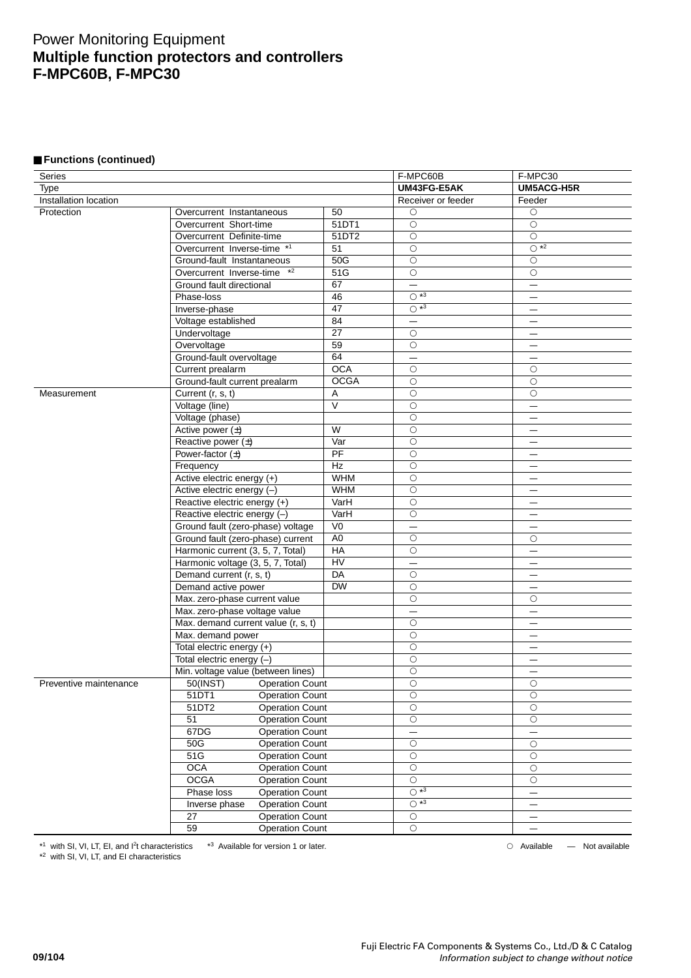## ■ **Functions (continued)**

| Series                 |                                         |                 | F-MPC60B                 | F-MPC30                  |
|------------------------|-----------------------------------------|-----------------|--------------------------|--------------------------|
| Type                   |                                         |                 | UM43FG-E5AK              | UM5ACG-H5R               |
| Installation location  |                                         |                 | Receiver or feeder       | Feeder                   |
| Protection             | Overcurrent Instantaneous               | 50              | О                        | $\circ$                  |
|                        | Overcurrent Short-time                  | 51DT1           | $\circ$                  | $\bigcirc$               |
|                        | Overcurrent Definite-time               | 51DT2           | $\circ$                  | $\bigcirc$               |
|                        | Overcurrent Inverse-time *1             | 51              | $\circ$                  | $\overline{O}$ *2        |
|                        | Ground-fault Instantaneous              | 50G             | $\circ$                  | $\circ$                  |
|                        | $*2$<br>Overcurrent Inverse-time        | 51G             | $\bigcirc$               | $\bigcirc$               |
|                        | Ground fault directional                | 67              |                          |                          |
|                        | Phase-loss                              | 46              | $\overline{O}$ *3        | $\overline{\phantom{0}}$ |
|                        | Inverse-phase                           | 47              | $\overline{O}$ *3        | —                        |
|                        | Voltage established                     | 84              |                          | —                        |
|                        | Undervoltage                            | $\overline{27}$ | $\circ$                  |                          |
|                        | Overvoltage                             | 59              | $\circ$                  | $\overline{\phantom{0}}$ |
|                        | Ground-fault overvoltage                | 64              | $\overline{\phantom{0}}$ | $\overline{\phantom{0}}$ |
|                        | Current prealarm                        | <b>OCA</b>      | $\circ$                  | $\circ$                  |
|                        | Ground-fault current prealarm           | <b>OCGA</b>     | $\circ$                  | $\circ$                  |
| Measurement            | Current (r, s, t)                       | Α               | $\circ$                  | $\circ$                  |
|                        | Voltage (line)                          | V               | $\circ$                  |                          |
|                        | Voltage (phase)                         |                 | $\circ$                  | —                        |
|                        | Active power $(\pm)$                    | W               | $\circ$                  |                          |
|                        | Reactive power $(\pm)$                  | Var             | $\circ$                  | —                        |
|                        | Power-factor $(\pm)$                    | PF              | $\circ$                  |                          |
|                        |                                         | Hz              | $\circ$                  |                          |
|                        | Frequency                               | <b>WHM</b>      |                          |                          |
|                        | Active electric energy (+)              | <b>WHM</b>      | $\bigcirc$               |                          |
|                        | Active electric energy (-)              |                 | $\circ$                  | —                        |
|                        | Reactive electric energy (+)            | VarH            | $\circ$                  | —                        |
|                        | Reactive electric energy (-)            | VarH            | $\circ$                  |                          |
|                        | Ground fault (zero-phase) voltage       | V <sub>0</sub>  | —                        | —                        |
|                        | Ground fault (zero-phase) current       | A <sub>0</sub>  | $\circ$                  | О                        |
|                        | Harmonic current (3, 5, 7, Total)       | HA              | $\circ$                  | —                        |
|                        | Harmonic voltage (3, 5, 7, Total)       | HV              | -                        | —                        |
|                        | Demand current (r, s, t)                | $\overline{DA}$ | $\circ$                  | —                        |
|                        | Demand active power                     | <b>DW</b>       | $\circ$                  | —                        |
|                        | Max. zero-phase current value           |                 | $\circ$                  | $\circ$                  |
|                        | Max. zero-phase voltage value           |                 | $\overline{\phantom{0}}$ | -                        |
|                        | Max. demand current value (r, s, t)     |                 | $\circ$                  | —                        |
|                        | Max. demand power                       |                 | $\circ$                  | —                        |
|                        | Total electric energy (+)               |                 | $\circ$                  |                          |
|                        | Total electric energy (-)               |                 | $\bigcirc$               |                          |
|                        | Min. voltage value (between lines)      |                 | $\circ$                  |                          |
| Preventive maintenance | 50(INST)<br><b>Operation Count</b>      |                 | $\circ$                  | $\circ$                  |
|                        | 51DT1<br><b>Operation Count</b>         |                 | $\bigcirc$               | $\bigcirc$               |
|                        | 51DT2<br><b>Operation Count</b>         |                 | $\bigcirc$               | $\circ$                  |
|                        | 51<br><b>Operation Count</b>            |                 | $\circ$                  | $\circ$                  |
|                        | 67DG<br><b>Operation Count</b>          |                 |                          | $\qquad \qquad -$        |
|                        | 50G<br><b>Operation Count</b>           |                 | $\bigcirc$               | $\bigcirc$               |
|                        | 51G<br><b>Operation Count</b>           |                 | $\bigcirc$               | $\bigcirc$               |
|                        | <b>OCA</b><br><b>Operation Count</b>    |                 | $\circ$                  | О                        |
|                        | <b>OCGA</b><br><b>Operation Count</b>   |                 | $\bigcirc$               | $\bigcirc$               |
|                        | Phase loss<br><b>Operation Count</b>    |                 | $\overline{O}$ *3        |                          |
|                        | <b>Operation Count</b><br>Inverse phase |                 | $\overline{O}$ *3        | $\qquad \qquad -$        |
|                        | 27<br><b>Operation Count</b>            |                 | $\overline{\bigcirc}$    | —                        |
|                        | 59<br><b>Operation Count</b>            |                 | $\bigcirc$               | —                        |
|                        |                                         |                 |                          |                          |

\*1 with SI, VI, LT, EI, and <sup>2</sup>t characteristics \*3 Available for version 1 or later. Available — Not available

\*2 with SI, VI, LT, and EI characteristics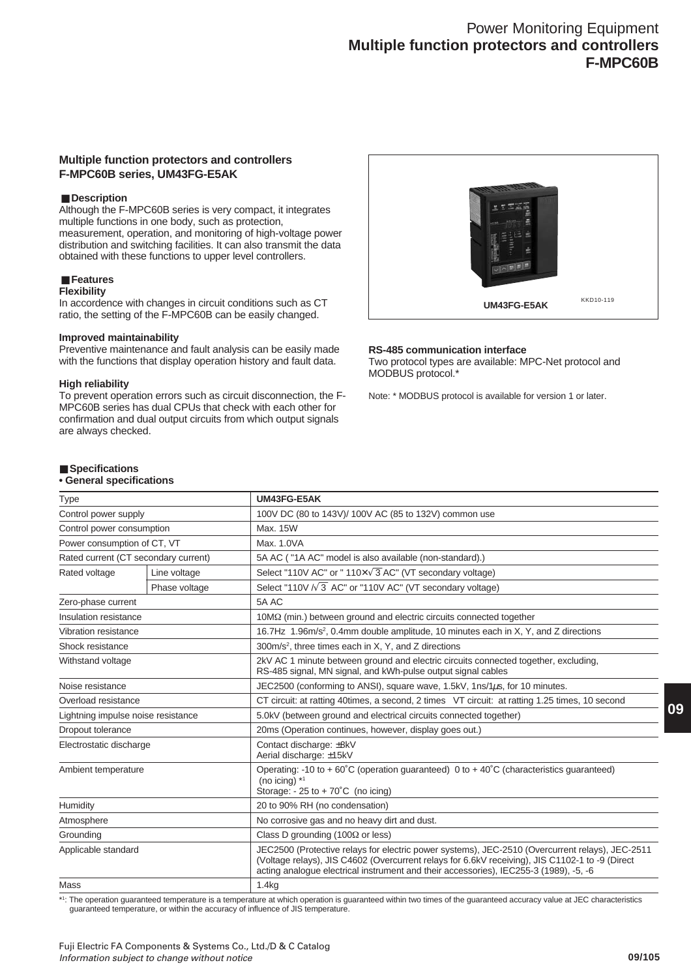## **Multiple function protectors and controllers F-MPC60B series, UM43FG-E5AK**

## ■ Description

Although the F-MPC60B series is very compact, it integrates multiple functions in one body, such as protection, measurement, operation, and monitoring of high-voltage power distribution and switching facilities. It can also transmit the data obtained with these functions to upper level controllers.

#### ■ **Features**

#### **Flexibility**

In accordence with changes in circuit conditions such as CT ratio, the setting of the F-MPC60B can be easily changed.

#### **Improved maintainability**

Preventive maintenance and fault analysis can be easily made with the functions that display operation history and fault data.

#### **High reliability**

To prevent operation errors such as circuit disconnection, the F-MPC60B series has dual CPUs that check with each other for confirmation and dual output circuits from which output signals are always checked.



#### **RS-485 communication interface**

Two protocol types are available: MPC-Net protocol and MODBUS protocol.\*

Note: \* MODBUS protocol is available for version 1 or later.

## ■ Specifications

## **• General specifications**

| <b>Type</b>                        |                                      | UM43FG-E5AK                                                                                                                                                                                                                                                                                 |
|------------------------------------|--------------------------------------|---------------------------------------------------------------------------------------------------------------------------------------------------------------------------------------------------------------------------------------------------------------------------------------------|
| Control power supply               |                                      | 100V DC (80 to 143V)/ 100V AC (85 to 132V) common use                                                                                                                                                                                                                                       |
| Control power consumption          |                                      | Max. 15W                                                                                                                                                                                                                                                                                    |
| Power consumption of CT, VT        |                                      | Max. 1.0VA                                                                                                                                                                                                                                                                                  |
|                                    | Rated current (CT secondary current) | 5A AC ("1A AC" model is also available (non-standard).)                                                                                                                                                                                                                                     |
| Rated voltage                      | Line voltage                         | Select "110V AC" or "110X $\sqrt{3}$ AC" (VT secondary voltage)                                                                                                                                                                                                                             |
|                                    | Phase voltage                        | Select "110V $\sqrt{3}$ AC" or "110V AC" (VT secondary voltage)                                                                                                                                                                                                                             |
| Zero-phase current                 |                                      | 5A AC                                                                                                                                                                                                                                                                                       |
| Insulation resistance              |                                      | $10\text{M}\Omega$ (min.) between ground and electric circuits connected together                                                                                                                                                                                                           |
| Vibration resistance               |                                      | 16.7Hz 1.96m/s <sup>2</sup> , 0.4mm double amplitude, 10 minutes each in X, Y, and Z directions                                                                                                                                                                                             |
| Shock resistance                   |                                      | 300m/s <sup>2</sup> , three times each in X, Y, and Z directions                                                                                                                                                                                                                            |
| Withstand voltage                  |                                      | 2kV AC 1 minute between ground and electric circuits connected together, excluding,<br>RS-485 signal, MN signal, and kWh-pulse output signal cables                                                                                                                                         |
| Noise resistance                   |                                      | JEC2500 (conforming to ANSI), square wave, 1.5kV, 1ns/1µs, for 10 minutes.                                                                                                                                                                                                                  |
| Overload resistance                |                                      | CT circuit: at ratting 40times, a second, 2 times VT circuit: at ratting 1.25 times, 10 second                                                                                                                                                                                              |
| Lightning impulse noise resistance |                                      | 5.0kV (between ground and electrical circuits connected together)                                                                                                                                                                                                                           |
| Dropout tolerance                  |                                      | 20ms (Operation continues, however, display goes out.)                                                                                                                                                                                                                                      |
| Electrostatic discharge            |                                      | Contact discharge: ±8kV<br>Aerial discharge: ±15kV                                                                                                                                                                                                                                          |
| Ambient temperature                |                                      | Operating: -10 to +60°C (operation guaranteed) 0 to +40°C (characteristics guaranteed)<br>(no icing) $*1$<br>Storage: $-25$ to $+70^{\circ}$ C (no icing)                                                                                                                                   |
| Humidity                           |                                      | 20 to 90% RH (no condensation)                                                                                                                                                                                                                                                              |
| Atmosphere                         |                                      | No corrosive gas and no heavy dirt and dust.                                                                                                                                                                                                                                                |
| Grounding                          |                                      | Class D grounding (100 $\Omega$ or less)                                                                                                                                                                                                                                                    |
| Applicable standard                |                                      | JEC2500 (Protective relays for electric power systems), JEC-2510 (Overcurrent relays), JEC-2511<br>(Voltage relays), JIS C4602 (Overcurrent relays for 6.6kV receiving), JIS C1102-1 to -9 (Direct<br>acting analogue electrical instrument and their accessories), IEC255-3 (1989), -5, -6 |
| Mass                               |                                      | 1.4kg                                                                                                                                                                                                                                                                                       |

\*1 : The operation guaranteed temperature is a temperature at which operation is guaranteed within two times of the guaranteed accuracy value at JEC characteristics guaranteed temperature, or within the accuracy of influence of JIS temperature.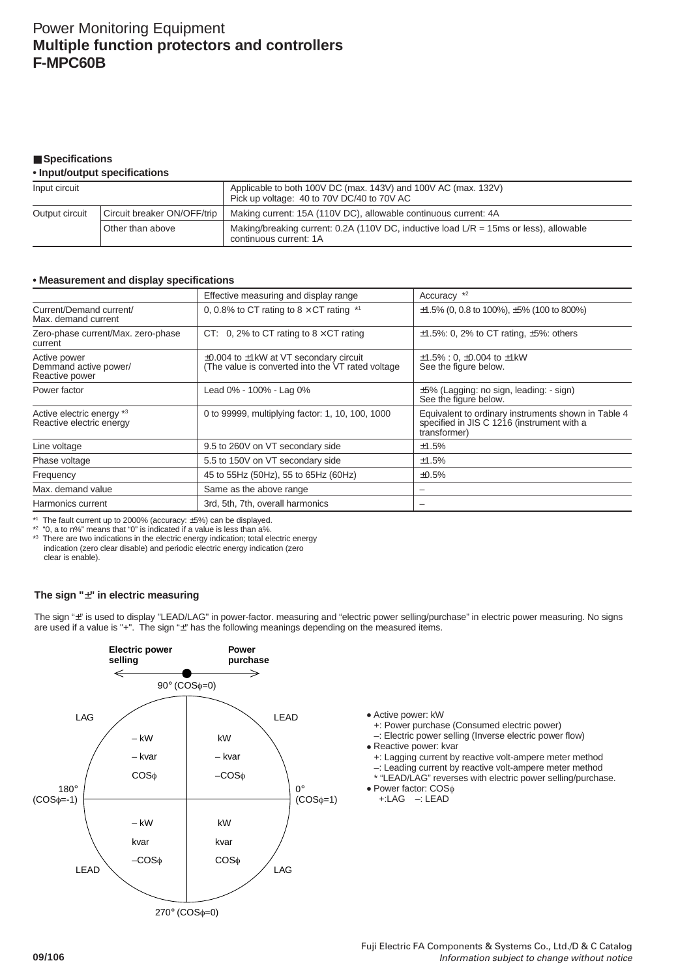## ■ Specifications

#### **• Input/output specifications**

| Input circuit                                 |                  | Applicable to both 100V DC (max. 143V) and 100V AC (max. 132V)<br>Pick up voltage: 40 to 70V DC/40 to 70V AC       |
|-----------------------------------------------|------------------|--------------------------------------------------------------------------------------------------------------------|
| Circuit breaker ON/OFF/trip<br>Output circuit |                  | Making current: 15A (110V DC), allowable continuous current: 4A                                                    |
|                                               | Other than above | Making/breaking current: 0.2A (110V DC, inductive load $L/R = 15$ ms or less), allowable<br>continuous current: 1A |

## **• Measurement and display specifications**

|                                                         | Effective measuring and display range                                                                   | Accuracy *2                                                                                                       |
|---------------------------------------------------------|---------------------------------------------------------------------------------------------------------|-------------------------------------------------------------------------------------------------------------------|
| Current/Demand current/<br>Max. demand current          | 0, 0.8% to CT rating to 8 $\times$ CT rating $*1$                                                       | $\pm$ 1.5% (0, 0.8 to 100%), $\pm$ 5% (100 to 800%)                                                               |
| Zero-phase current/Max. zero-phase<br>current           | CT: 0, 2% to CT rating to $8 \times$ CT rating                                                          | $\pm$ 1.5%: 0, 2% to CT rating, $\pm$ 5%: others                                                                  |
| Active power<br>Demmand active power/<br>Reactive power | $\pm 0.004$ to $\pm 1$ kW at VT secondary circuit<br>(The value is converted into the VT rated voltage) | $\pm 1.5\%$ : 0, $\pm 0.004$ to $\pm 1$ kW<br>See the figure below.                                               |
| Power factor                                            | Lead 0% - 100% - Lag 0%                                                                                 | $\pm 5\%$ (Lagging: no sign, leading: - sign)<br>See the figure below.                                            |
| Active electric energy *3<br>Reactive electric energy   | 0 to 99999, multiplying factor: 1, 10, 100, 1000                                                        | Equivalent to ordinary instruments shown in Table 4<br>specified in JIS C 1216 (instrument with a<br>transformer) |
| Line voltage                                            | 9.5 to 260V on VT secondary side                                                                        | ±1.5%                                                                                                             |
| Phase voltage                                           | 5.5 to 150V on VT secondary side                                                                        | ±1.5%                                                                                                             |
| Frequency                                               | 45 to 55Hz (50Hz), 55 to 65Hz (60Hz)                                                                    | ±0.5%                                                                                                             |
| Max. demand value                                       | Same as the above range                                                                                 | -                                                                                                                 |
| Harmonics current                                       | 3rd, 5th, 7th, overall harmonics                                                                        | -                                                                                                                 |

\*1 The fault current up to 2000% (accuracy: ±5%) can be displayed. \*2 "0, a to n%" means that "0" is indicated if a value is less than a%.

\*3 There are two indications in the electric energy indication; total electric energy indication (zero clear disable) and periodic electric energy indication (zero clear is enable).

## **The sign "**±**" in electric measuring**

The sign "±" is used to display "LEAD/LAG" in power-factor. measuring and "electric power selling/purchase" in electric power measuring. No signs are used if a value is "+". The sign "±" has the following meanings depending on the measured items.



• Active power: kW

- +: Power purchase (Consumed electric power)
- –: Electric power selling (Inverse electric power flow) • Reactive power: kvar
	- +: Lagging current by reactive volt-ampere meter method
	- –: Leading current by reactive volt-ampere meter method \* "LEAD/LAG" reverses with electric power selling/purchase.
- Power factor: COS<sup>φ</sup> +:LAG –: LEAD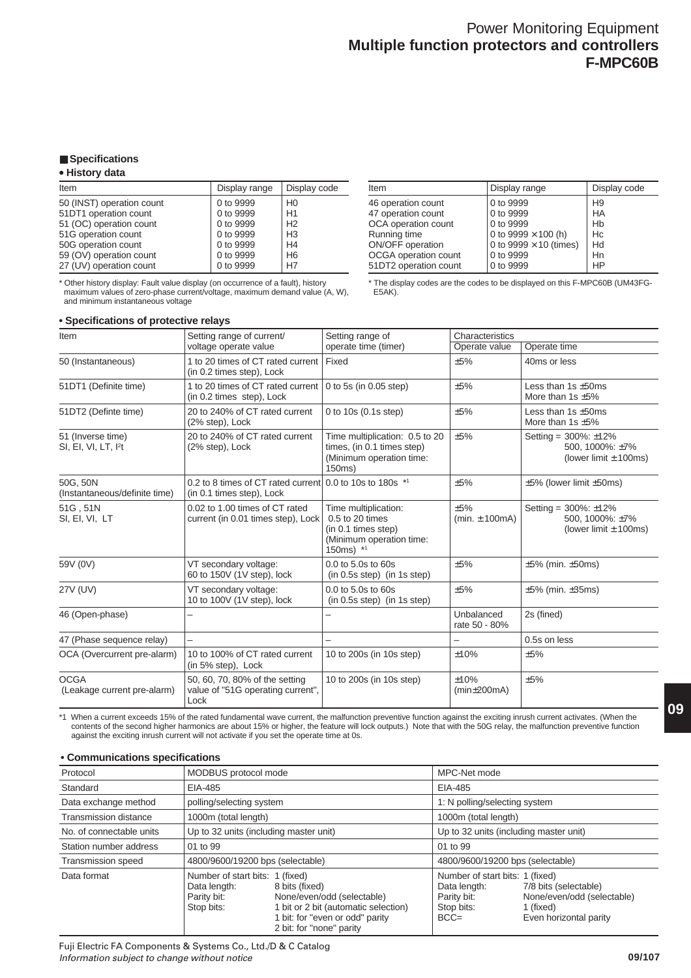## ■ **Specifications**

## **• History data**

| Display range | Display code   |
|---------------|----------------|
| 0 to 9999     | H <sub>0</sub> |
| 0 to 9999     | H1             |
| 0 to 9999     | H <sub>2</sub> |
| 0 to 9999     | H <sub>3</sub> |
| 0 to 9999     | H <sub>4</sub> |
| 0 to 9999     | H <sub>6</sub> |
| 0 to 9999     | H7             |
|               |                |

\* Other history display: Fault value display (on occurrence of a fault), history maximum values of zero-phase current/voltage, maximum demand value (A, W), and minimum instantaneous voltage

## **• Specifications of protective relays**

| Item                  | Display range                 | Display code   |
|-----------------------|-------------------------------|----------------|
| 46 operation count    | 0 to 9999                     | H <sub>9</sub> |
| 47 operation count    | 0 to 9999                     | HA             |
| OCA operation count   | 0 to 9999                     | Hb             |
| Running time          | 0 to 9999 $\times$ 100 (h)    | Hc             |
| ON/OFF operation      | 0 to 9999 $\times$ 10 (times) | Hd             |
| OCGA operation count  | 0 to 9999                     | Hn             |
| 51DT2 operation count | 0 to 9999                     | HP             |
|                       |                               |                |

\* The display codes are the codes to be displayed on this F-MPC60B (UM43FG-E5AK).

| Item                                                  | Setting range of current/                                                             | Setting range of                                                                                        | Characteristics             |                                                                          |
|-------------------------------------------------------|---------------------------------------------------------------------------------------|---------------------------------------------------------------------------------------------------------|-----------------------------|--------------------------------------------------------------------------|
|                                                       | voltage operate value                                                                 | operate time (timer)                                                                                    | Operate value               | Operate time                                                             |
| 50 (Instantaneous)                                    | 1 to 20 times of CT rated current<br>(in 0.2 times step), Lock                        | Fixed                                                                                                   | ±5%                         | 40ms or less                                                             |
| 51DT1 (Definite time)                                 | 1 to 20 times of CT rated current<br>(in 0.2 times step), Lock                        | 0 to 5s (in 0.05 step)                                                                                  | ±5%                         | Less than $1s + 50ms$<br>More than 1s $\pm 5\%$                          |
| 51DT2 (Definte time)                                  | 20 to 240% of CT rated current<br>(2% step), Lock                                     | 0 to $10s(0.1s$ step)                                                                                   | ±5%                         | Less than $1s + 50ms$<br>More than 1s $\pm 5\%$                          |
| 51 (Inverse time)<br>SI, EI, VI, LT, I <sup>2</sup> t | 20 to 240% of CT rated current<br>(2% step), Lock                                     | Time multiplication: 0.5 to 20<br>times, (in 0.1 times step)<br>(Minimum operation time:<br>150ms)      | ±5%                         | Setting = $300\%$ : ±12%<br>500, 1000%: ±7%<br>(lower limit $\pm$ 100ms) |
| 50G, 50N<br>(Instantaneous/definite time)             | 0.2 to 8 times of CT rated current 0.0 to 10s to 180s *1<br>(in 0.1 times step), Lock |                                                                                                         | ±5%                         | $\pm 5\%$ (lower limit $\pm 50$ ms)                                      |
| 51G, 51N<br>SI, EI, VI, LT                            | 0.02 to 1.00 times of CT rated<br>current (in 0.01 times step), Lock                  | Time multiplication:<br>0.5 to 20 times<br>(in 0.1 times step)<br>(Minimum operation time:<br>150ms) *1 | ±5%<br>(min. $\pm$ 100mA)   | Setting = $300\%$ : ±12%<br>500, 1000%: ±7%<br>(lower limit $\pm$ 100ms) |
| 59V (0V)                                              | VT secondary voltage:<br>60 to 150V (1V step), lock                                   | 0.0 to 5.0s to 60s<br>$(in 0.5s step)$ (in 1s step)                                                     | ±5%                         | $\pm 5\%$ (min. $\pm 50$ ms)                                             |
| 27V (UV)                                              | VT secondary voltage:<br>10 to 100V (1V step), lock                                   | $0.0$ to 5.0s to 60s<br>$(in 0.5s step)$ (in 1s step)                                                   | ±5%                         | $\pm 5\%$ (min. $\pm 35$ ms)                                             |
| 46 (Open-phase)                                       |                                                                                       |                                                                                                         | Unbalanced<br>rate 50 - 80% | 2s (fined)                                                               |
| 47 (Phase sequence relay)                             |                                                                                       |                                                                                                         |                             | 0.5s on less                                                             |
| OCA (Overcurrent pre-alarm)                           | 10 to 100% of CT rated current<br>(in 5% step), Lock                                  | 10 to 200s (in 10s step)                                                                                | ±10%                        | ±5%                                                                      |
| <b>OCGA</b><br>(Leakage current pre-alarm)            | 50, 60, 70, 80% of the setting<br>value of "51G operating current",<br>Lock           | 10 to 200s (in 10s step)                                                                                | ±10%<br>$(min\pm 200mA)$    | ±5%                                                                      |

\*1 When a current exceeds 15% of the rated fundamental wave current, the malfunction preventive function against the exciting inrush current activates. (When the contents of the second higher harmonics are about 15% or higher, the feature will lock outputs.) Note that with the 50G relay, the malfunction preventive function against the exciting inrush current will not activate if you set the operate time at 0s.

#### **• Communications specifications**

| Protocol                     |                                                                              | MODBUS protocol mode                                                                                                                                |                                                                                         |                                                                                            |  |
|------------------------------|------------------------------------------------------------------------------|-----------------------------------------------------------------------------------------------------------------------------------------------------|-----------------------------------------------------------------------------------------|--------------------------------------------------------------------------------------------|--|
| Standard                     | EIA-485                                                                      |                                                                                                                                                     | EIA-485                                                                                 |                                                                                            |  |
| Data exchange method         | polling/selecting system                                                     |                                                                                                                                                     | 1: N polling/selecting system                                                           |                                                                                            |  |
| <b>Transmission distance</b> | 1000m (total length)                                                         |                                                                                                                                                     | 1000m (total length)                                                                    |                                                                                            |  |
| No. of connectable units     |                                                                              | Up to 32 units (including master unit)                                                                                                              |                                                                                         | Up to 32 units (including master unit)                                                     |  |
| Station number address       | 01 to 99                                                                     |                                                                                                                                                     |                                                                                         | 01 to 99                                                                                   |  |
| <b>Transmission speed</b>    |                                                                              | 4800/9600/19200 bps (selectable)                                                                                                                    |                                                                                         | 4800/9600/19200 bps (selectable)                                                           |  |
| Data format                  | Number of start bits: 1 (fixed)<br>Data length:<br>Parity bit:<br>Stop bits: | 8 bits (fixed)<br>None/even/odd (selectable)<br>1 bit or 2 bit (automatic selection)<br>1 bit: for "even or odd" parity<br>2 bit: for "none" parity | Number of start bits: 1 (fixed)<br>Data length:<br>Parity bit:<br>Stop bits:<br>$BCC =$ | 7/8 bits (selectable)<br>None/even/odd (selectable)<br>1 (fixed)<br>Even horizontal parity |  |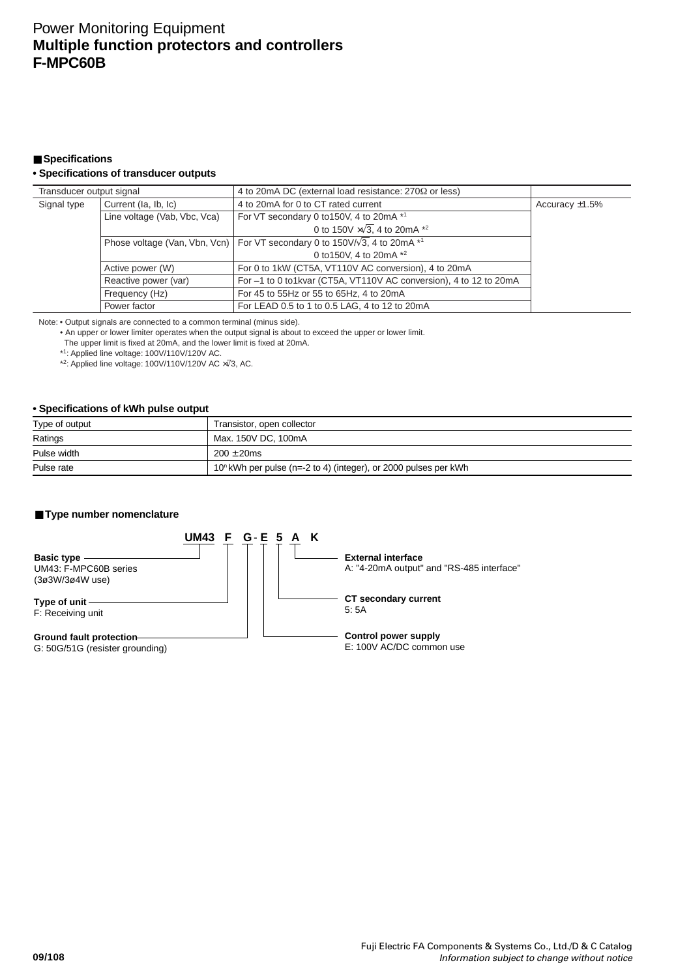## ■ Specifications

## **• Specifications of transducer outputs**

| Transducer output signal |                              | 4 to 20 mA DC (external load resistance: $270\Omega$ or less)                         |                   |
|--------------------------|------------------------------|---------------------------------------------------------------------------------------|-------------------|
| Signal type              | Current (la, lb, lc)         | 4 to 20mA for 0 to CT rated current                                                   | Accuracy $±1.5\%$ |
|                          | Line voltage (Vab, Vbc, Vca) | For VT secondary 0 to 150V, 4 to 20mA *1                                              |                   |
|                          |                              | 0 to 150V $\times\sqrt{3}$ , 4 to 20mA $*^2$                                          |                   |
|                          |                              | Phose voltage (Van, Vbn, Vcn)   For VT secondary 0 to 150V/ $\sqrt{3}$ , 4 to 20mA *1 |                   |
|                          |                              | 0 to 150V, 4 to 20 mA *2                                                              |                   |
|                          | Active power (W)             | For 0 to 1kW (CT5A, VT110V AC conversion), 4 to 20mA                                  |                   |
|                          | Reactive power (var)         | For -1 to 0 to1kvar (CT5A, VT110V AC conversion), 4 to 12 to 20mA                     |                   |
|                          | Frequency (Hz)               | For 45 to 55Hz or 55 to 65Hz, 4 to 20mA                                               |                   |
|                          | Power factor                 | For LEAD 0.5 to 1 to 0.5 LAG, 4 to 12 to 20mA                                         |                   |

Note: • Output signals are connected to a common terminal (minus side).

• An upper or lower limiter operates when the output signal is about to exceed the upper or lower limit. The upper limit is fixed at 20mA, and the lower limit is fixed at 20mA.

\*1: Applied line voltage: 100V/110V/120V AC.

\*2: Applied line voltage: 100V/110V/120V AC ×√3, AC.

## **• Specifications of kWh pulse output**

| Type of output | Transistor, open collector                                         |
|----------------|--------------------------------------------------------------------|
| Ratings        | Max. 150V DC. 100mA                                                |
| Pulse width    | $200 + 20$ ms                                                      |
| Pulse rate     | $10^n$ kWh per pulse (n=-2 to 4) (integer), or 2000 pulses per kWh |

## ■ **Type number nomenclature**

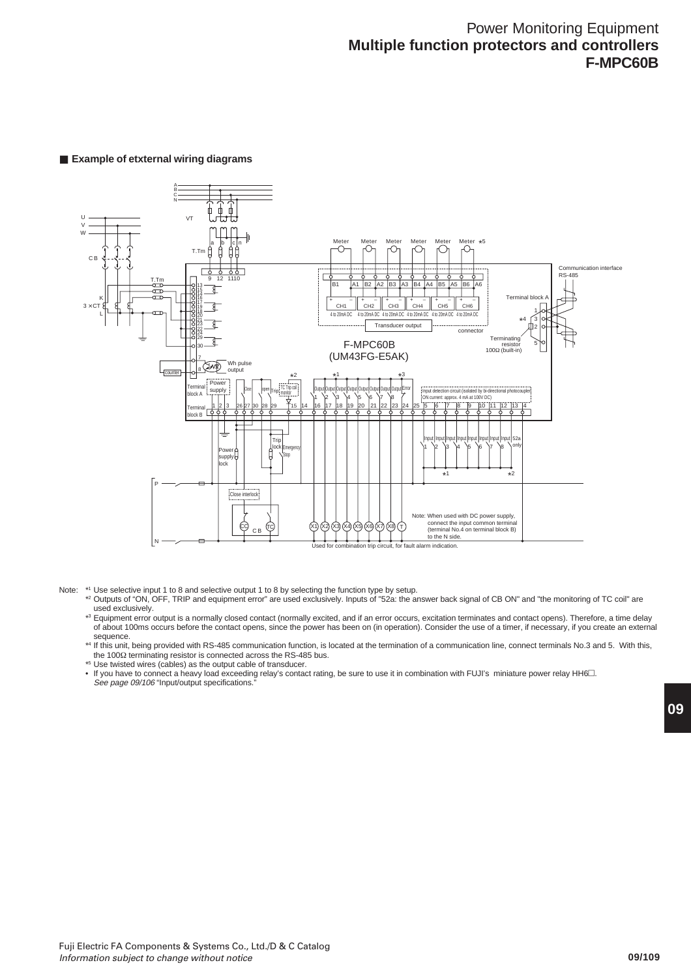## ■ **Example of etxternal wiring diagrams**



- Note: \*1 Use selective input 1 to 8 and selective output 1 to 8 by selecting the function type by setup.
	- \*2 Outputs of "ON, OFF, TRIP and equipment error" are used exclusively. Inputs of "52a: the answer back signal of CB ON" and "the monitoring of TC coil" are used exclusively.
	- \*3 Equipment error output is a normally closed contact (normally excited, and if an error occurs, excitation terminates and contact opens). Therefore, a time delay of about 100ms occurs before the contact opens, since the power has been on (in operation). Consider the use of a timer, if necessary, if you create an external sequence.

\*4 If this unit, being provided with RS-485 communication function, is located at the termination of a communication line, connect terminals No.3 and 5. With this, the 100Ω terminating resistor is connected across the RS-485 bus.

- \*5 Use twisted wires (cables) as the output cable of transducer.
- If you have to connect a heavy load exceeding relay's contact rating, be sure to use it in combination with FUJI's miniature power relay HH6 $\square$ . See page 09/106 "Input/output specifications.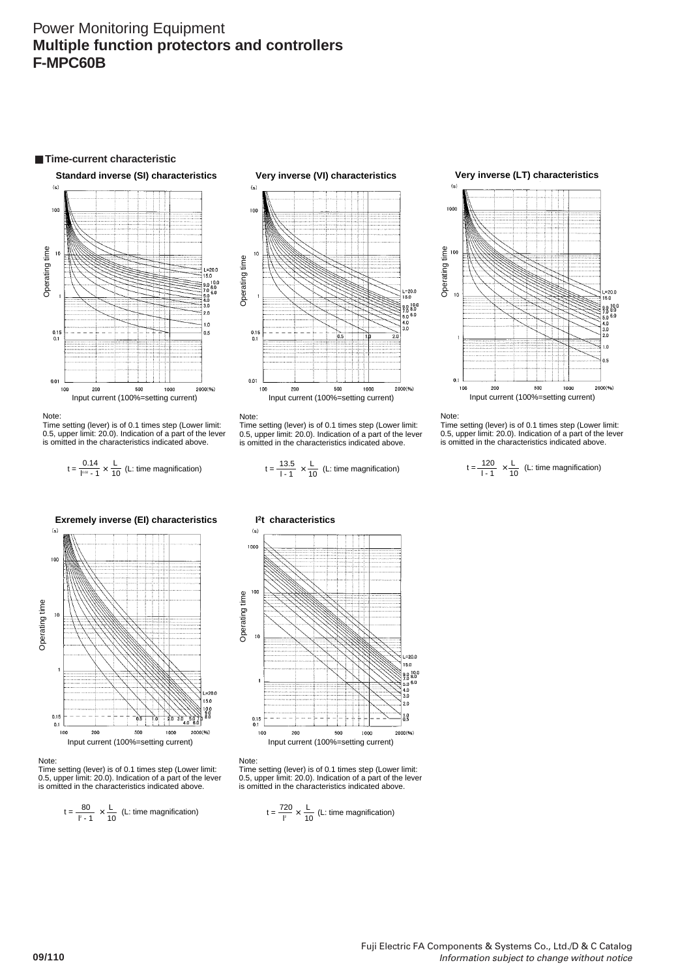

#### Note:

Time setting (lever) is of 0.1 times step (Lower limit: 0.5, upper limit: 20.0). Indication of a part of the lever is omitted in the characteristics indicated above.

$$
t = \frac{0.14}{1000 \times 10^{-4}} \times \frac{L}{10}
$$
 (L: time magnification)



#### Note:

Time setting (lever) is of 0.1 times step (Lower limit: 0.5, upper limit: 20.0). Indication of a part of the lever is omitted in the characteristics indicated above.

$$
t = \frac{80}{1^2 - 1} \times \frac{L}{10}
$$
 (L: time magnification)



#### Note:

Time setting (lever) is of 0.1 times step (Lower limit: 0.5, upper limit: 20.0). Indication of a part of the lever is omitted in the characteristics indicated above.

$$
t = \frac{0.14}{1.1} \times \frac{1}{10}
$$
 (L: time magnification)  $t = \frac{13.5}{1.1} \times \frac{1}{10}$  (L: time magnification)



#### Note:

Time setting (lever) is of 0.1 times step (Lower limit: 0.5, upper limit: 20.0). Indication of a part of the lever is omitted in the characteristics indicated above.

> l - 1 120 10  $t = \frac{120}{14} \times \frac{L}{40}$  (L: time magnification)



#### Note:

Time setting (lever) is of 0.1 times step (Lower limit: 0.5, upper limit: 20.0). Indication of a part of the lever is omitted in the characteristics indicated above.

$$
t = \frac{720}{l^2} \times \frac{L}{10}
$$
 (L: time magnification)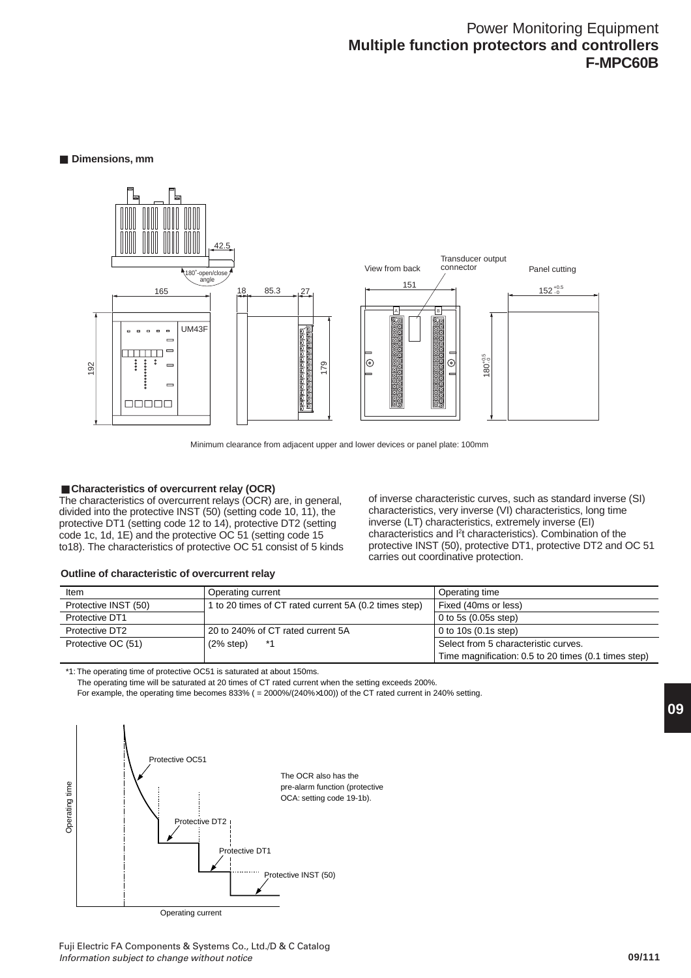### ■ **Dimensions**, mm



Minimum clearance from adjacent upper and lower devices or panel plate: 100mm

#### ■ Characteristics of overcurrent relay (OCR)

The characteristics of overcurrent relays (OCR) are, in general, divided into the protective INST (50) (setting code 10, 11), the protective DT1 (setting code 12 to 14), protective DT2 (setting code 1c, 1d, 1E) and the protective OC 51 (setting code 15 to18). The characteristics of protective OC 51 consist of 5 kinds of inverse characteristic curves, such as standard inverse (SI) characteristics, very inverse (VI) characteristics, long time inverse (LT) characteristics, extremely inverse (EI) characteristics and <sup>2</sup>t characteristics). Combination of the protective INST (50), protective DT1, protective DT2 and OC 51 carries out coordinative protection.

#### **Outline of characteristic of overcurrent relay**

| Item                 | Operating current                                     | Operating time                                       |
|----------------------|-------------------------------------------------------|------------------------------------------------------|
| Protective INST (50) | 1 to 20 times of CT rated current 5A (0.2 times step) | Fixed (40ms or less)                                 |
| Protective DT1       |                                                       | $0$ to 5s $(0.05s$ step)                             |
| Protective DT2       | 20 to 240% of CT rated current 5A                     | $\vert$ 0 to 10s (0.1s step)                         |
| Protective OC (51)   | (2% step)<br>*1                                       | Select from 5 characteristic curves.                 |
|                      |                                                       | Time magnification: 0.5 to 20 times (0.1 times step) |

\*1: The operating time of protective OC51 is saturated at about 150ms.

The operating time will be saturated at 20 times of CT rated current when the setting exceeds 200%.

For example, the operating time becomes 833% ( = 2000%/(240%×100)) of the CT rated current in 240% setting.

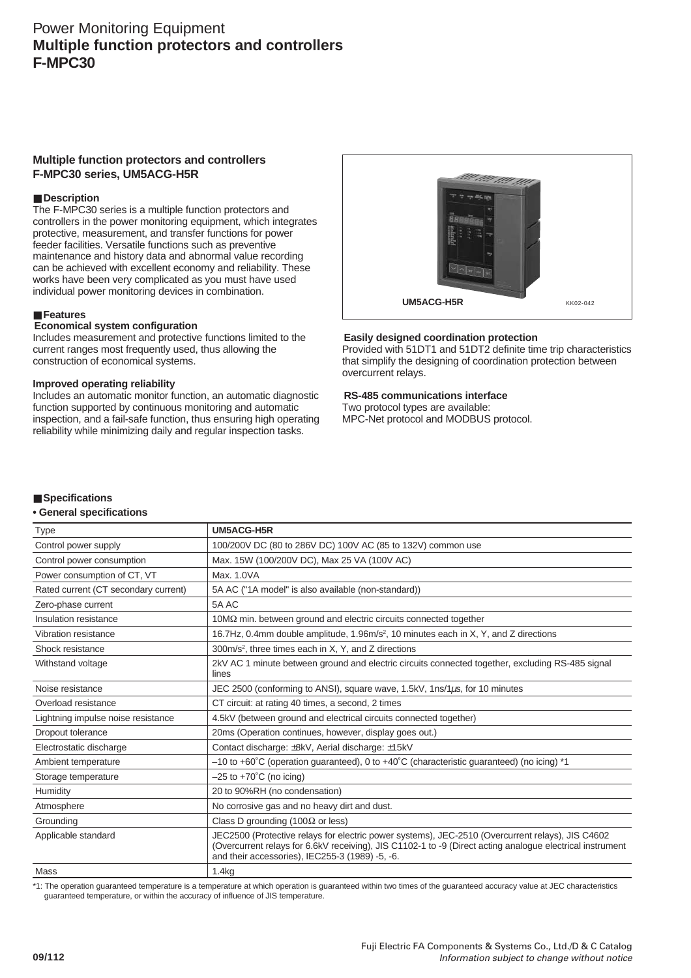## **Multiple function protectors and controllers F-MPC30 series, UM5ACG-H5R**

## ■ Description

The F-MPC30 series is a multiple function protectors and controllers in the power monitoring equipment, which integrates protective, measurement, and transfer functions for power feeder facilities. Versatile functions such as preventive maintenance and history data and abnormal value recording can be achieved with excellent economy and reliability. These works have been very complicated as you must have used individual power monitoring devices in combination.

#### ■ **Features**

## **Economical system configuration**

Includes measurement and protective functions limited to the current ranges most frequently used, thus allowing the construction of economical systems.

#### **Improved operating reliability**

Includes an automatic monitor function, an automatic diagnostic function supported by continuous monitoring and automatic inspection, and a fail-safe function, thus ensuring high operating reliability while minimizing daily and regular inspection tasks.



#### **Easily designed coordination protection**

Provided with 51DT1 and 51DT2 definite time trip characteristics that simplify the designing of coordination protection between overcurrent relays.

#### **RS-485 communications interface**

Two protocol types are available: MPC-Net protocol and MODBUS protocol.

#### ■ **Specifications**

#### **• General specifications**

| <b>Type</b>                          | UM5ACG-H5R                                                                                                                                                                                                                                                       |
|--------------------------------------|------------------------------------------------------------------------------------------------------------------------------------------------------------------------------------------------------------------------------------------------------------------|
| Control power supply                 | 100/200V DC (80 to 286V DC) 100V AC (85 to 132V) common use                                                                                                                                                                                                      |
| Control power consumption            | Max. 15W (100/200V DC), Max 25 VA (100V AC)                                                                                                                                                                                                                      |
| Power consumption of CT, VT          | Max. 1.0VA                                                                                                                                                                                                                                                       |
| Rated current (CT secondary current) | 5A AC ("1A model" is also available (non-standard))                                                                                                                                                                                                              |
| Zero-phase current                   | 5A AC                                                                                                                                                                                                                                                            |
| Insulation resistance                | 10MQ min. between ground and electric circuits connected together                                                                                                                                                                                                |
| Vibration resistance                 | 16.7Hz, 0.4mm double amplitude, 1.96m/s <sup>2</sup> , 10 minutes each in X, Y, and Z directions                                                                                                                                                                 |
| Shock resistance                     | $300m/s2$ , three times each in X, Y, and Z directions                                                                                                                                                                                                           |
| Withstand voltage                    | 2kV AC 1 minute between ground and electric circuits connected together, excluding RS-485 signal<br>lines                                                                                                                                                        |
| Noise resistance                     | JEC 2500 (conforming to ANSI), square wave, 1.5kV, 1ns/1µs, for 10 minutes                                                                                                                                                                                       |
| Overload resistance                  | CT circuit: at rating 40 times, a second, 2 times                                                                                                                                                                                                                |
| Lightning impulse noise resistance   | 4.5kV (between ground and electrical circuits connected together)                                                                                                                                                                                                |
| Dropout tolerance                    | 20ms (Operation continues, however, display goes out.)                                                                                                                                                                                                           |
| Electrostatic discharge              | Contact discharge: ±8kV, Aerial discharge: ±15kV                                                                                                                                                                                                                 |
| Ambient temperature                  | $-10$ to +60°C (operation guaranteed), 0 to +40°C (characteristic guaranteed) (no icing) *1                                                                                                                                                                      |
| Storage temperature                  | $-25$ to $+70^{\circ}$ C (no icing)                                                                                                                                                                                                                              |
| Humidity                             | 20 to 90%RH (no condensation)                                                                                                                                                                                                                                    |
| Atmosphere                           | No corrosive gas and no heavy dirt and dust.                                                                                                                                                                                                                     |
| Grounding                            | Class D grounding (100 $\Omega$ or less)                                                                                                                                                                                                                         |
| Applicable standard                  | JEC2500 (Protective relays for electric power systems), JEC-2510 (Overcurrent relays), JIS C4602<br>(Overcurrent relays for 6.6kV receiving), JIS C1102-1 to -9 (Direct acting analogue electrical instrument<br>and their accessories), IEC255-3 (1989) -5, -6. |
| Mass                                 | 1.4kg                                                                                                                                                                                                                                                            |

\*1: The operation guaranteed temperature is a temperature at which operation is guaranteed within two times of the guaranteed accuracy value at JEC characteristics guaranteed temperature, or within the accuracy of influence of JIS temperature.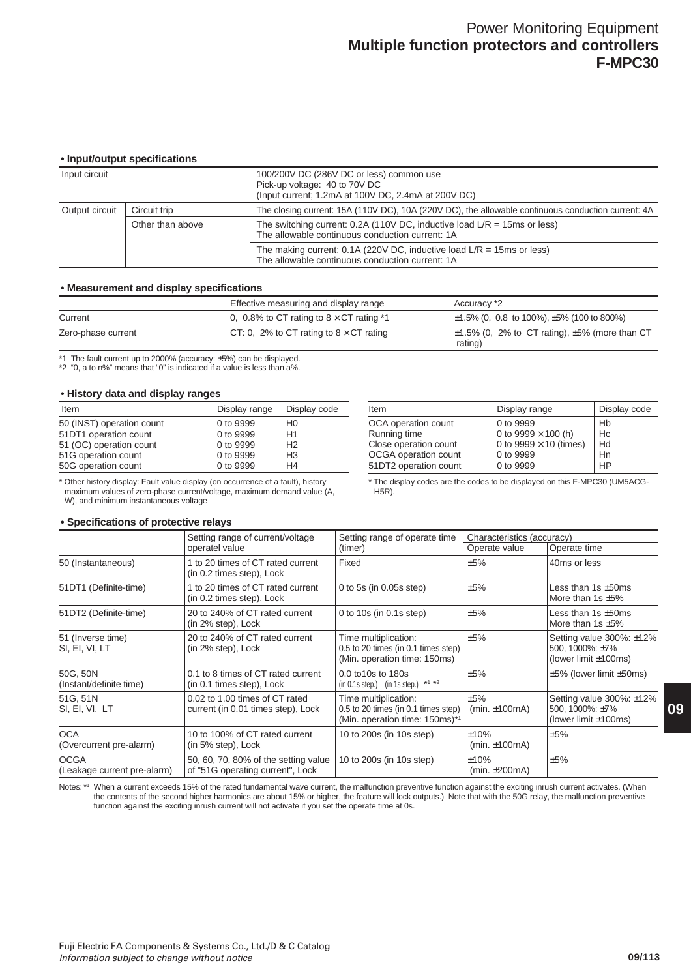## **• Input/output specifications**

|                                                                     | pageageat opposition.c |                                                                                                                                  |
|---------------------------------------------------------------------|------------------------|----------------------------------------------------------------------------------------------------------------------------------|
| Input circuit                                                       |                        | 100/200V DC (286V DC or less) common use<br>Pick-up voltage: 40 to 70V DC<br>(Input current; 1.2mA at 100V DC, 2.4mA at 200V DC) |
| Output circuit                                                      | Circuit trip           | The closing current: 15A (110V DC), 10A (220V DC), the allowable continuous conduction current: 4A                               |
| Other than above<br>The allowable continuous conduction current: 1A |                        | The switching current: 0.2A (110V DC, inductive load $L/R = 15$ ms or less)                                                      |
|                                                                     |                        | The making current: 0.1A (220V DC, inductive load $L/R = 15ms$ or less)<br>The allowable continuous conduction current: 1A       |

## **• Measurement and display specifications**

|                    | Effective measuring and display range             | Accuracy *2                                                        |
|--------------------|---------------------------------------------------|--------------------------------------------------------------------|
| Current            | 0, 0.8% to CT rating to $8 \times$ CT rating $*1$ | $\pm$ 1.5% (0, 0.8 to 100%), $\pm$ 5% (100 to 800%)                |
| Zero-phase current | CT: 0, 2% to CT rating to $8 \times$ CT rating    | $\pm$ 1.5% (0, 2% to CT rating), $\pm$ 5% (more than CT<br>rating) |

\*1 The fault current up to 2000% (accuracy: ±5%) can be displayed.

\*2 "0, a to n%" means that "0" is indicated if a value is less than a%.

#### **• History data and display ranges**

**• Specifications of protective relays**

| Item                      | Display range | Display code   |
|---------------------------|---------------|----------------|
| 50 (INST) operation count | 0 to 9999     | H <sub>0</sub> |
| 51DT1 operation count     | 0 to 9999     | H1             |
| 51 (OC) operation count   | 0 to 9999     | H <sub>2</sub> |
| 51G operation count       | 0 to 9999     | H <sub>3</sub> |
| 50G operation count       | 0 to 9999     | H <sub>4</sub> |

\* Other history display: Fault value display (on occurrence of a fault), history maximum values of zero-phase current/voltage, maximum demand value (A, W), and minimum instantaneous voltage

| Item                  | Display range                 | Display code |
|-----------------------|-------------------------------|--------------|
| OCA operation count   | 0 to 9999                     | Hb           |
| Running time          | 0 to 9999 $\times$ 100 (h)    | Hc           |
| Close operation count | 0 to 9999 $\times$ 10 (times) | Hd           |
| OCGA operation count  | 0 to 9999                     | Hn           |
| 51DT2 operation count | 0 to 9999                     | <b>HP</b>    |

\* The display codes are the codes to be displayed on this F-MPC30 (UM5ACG-H5R).

|                                            | Setting range of current/voltage<br>Setting range of operate time        |                                                                                               | Characteristics (accuracy)  |                                                                                     |  |
|--------------------------------------------|--------------------------------------------------------------------------|-----------------------------------------------------------------------------------------------|-----------------------------|-------------------------------------------------------------------------------------|--|
|                                            | operatel value                                                           | (timer)                                                                                       | Operate value               | Operate time                                                                        |  |
| 50 (Instantaneous)                         | 1 to 20 times of CT rated current<br>(in 0.2 times step), Lock           | Fixed                                                                                         | ±5%                         | 40ms or less                                                                        |  |
| 51DT1 (Definite-time)                      | 1 to 20 times of CT rated current<br>(in 0.2 times step), Lock           | 0 to 5s (in $0.05s$ step)                                                                     | ±5%                         | Less than 1s $\pm$ 50ms<br>More than 1s $\pm$ 5%                                    |  |
| 51DT2 (Definite-time)                      | 20 to 240% of CT rated current<br>(in 2% step), Lock                     | 0 to $10s$ (in 0.1s step)                                                                     | ±5%                         | Less than 1s $\pm$ 50ms<br>More than $1s \pm 5\%$                                   |  |
| 51 (Inverse time)<br>SI, EI, VI, LT        | 20 to 240% of CT rated current<br>(in 2% step), Lock                     | Time multiplication:<br>0.5 to 20 times (in 0.1 times step)<br>(Min. operation time: 150ms)   | ±5%                         | Setting value $300\%$ : $\pm 12\%$<br>500, 1000%: ±7%<br>(lower limit $\pm 100$ ms) |  |
| 50G, 50N<br>(Instant/definite time)        | 0.1 to 8 times of CT rated current<br>(in 0.1 times step), Lock          | 0.0 to 10s to 180s<br>(in 0.1s step.) (in 1s step.) $*1 *2$                                   | ±5%                         | ±5% (lower limit ±50ms)                                                             |  |
| 51G, 51N<br>SI, EI, VI, LT                 | 0.02 to 1.00 times of CT rated<br>current (in 0.01 times step), Lock     | Time multiplication:<br>0.5 to 20 times (in 0.1 times step)<br>(Min. operation time: 150ms)*1 | ±5%<br>(min. $\pm$ 100mA)   | Setting value 300%: ±12%<br>500, 1000%: ±7%<br>(lower limit $\pm 100$ ms)           |  |
| <b>OCA</b><br>(Overcurrent pre-alarm)      | 10 to 100% of CT rated current<br>(in 5% step), Lock                     | 10 to 200s (in 10s step)                                                                      | ±10%<br>(min. $\pm$ 100mA)  | ±5%                                                                                 |  |
| <b>OCGA</b><br>(Leakage current pre-alarm) | 50, 60, 70, 80% of the setting value<br>of "51G operating current", Lock | 10 to 200s (in 10s step)                                                                      | ±10%<br>(min. $\pm 200$ mA) | ±5%                                                                                 |  |

#### Notes: \*1 When a current exceeds 15% of the rated fundamental wave current, the malfunction preventive function against the exciting inrush current activates. (When the contents of the second higher harmonics are about 15% or higher, the feature will lock outputs.) Note that with the 50G relay, the malfunction preventive function against the exciting inrush current will not activate if you set the operate time at 0s.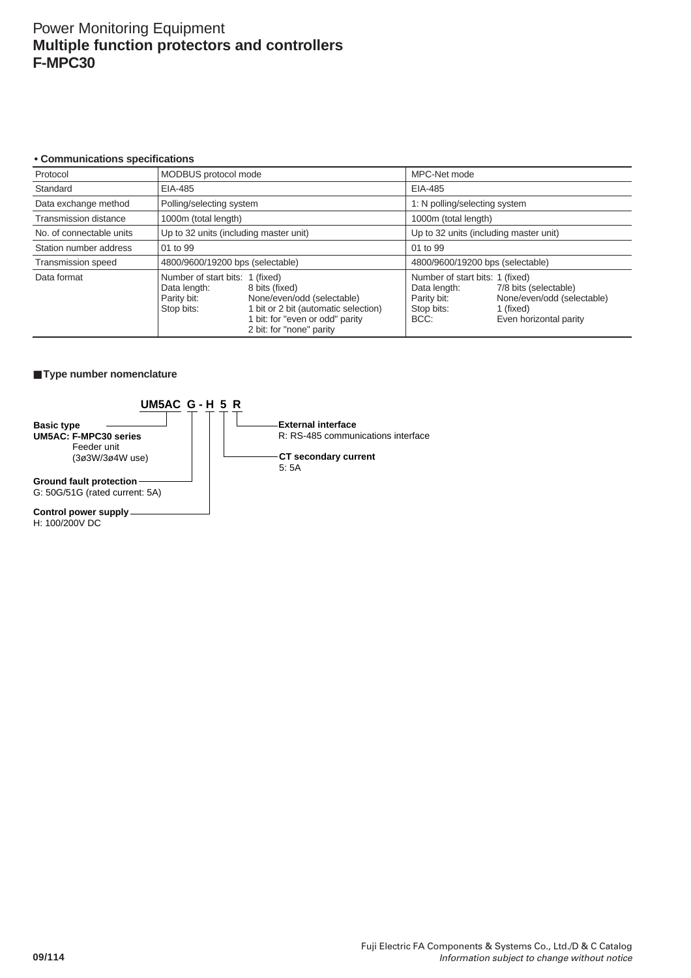#### **• Communications specifications**

| Protocol                                                                                                                                                                                                                                                                                                | MODBUS protocol mode                   |  | MPC-Net mode                           |                                                                                                                               |
|---------------------------------------------------------------------------------------------------------------------------------------------------------------------------------------------------------------------------------------------------------------------------------------------------------|----------------------------------------|--|----------------------------------------|-------------------------------------------------------------------------------------------------------------------------------|
| Standard                                                                                                                                                                                                                                                                                                | EIA-485                                |  | EIA-485                                |                                                                                                                               |
| Data exchange method                                                                                                                                                                                                                                                                                    | Polling/selecting system               |  | 1: N polling/selecting system          |                                                                                                                               |
| <b>Transmission distance</b>                                                                                                                                                                                                                                                                            | 1000m (total length)                   |  | 1000m (total length)                   |                                                                                                                               |
| No. of connectable units                                                                                                                                                                                                                                                                                | Up to 32 units (including master unit) |  | Up to 32 units (including master unit) |                                                                                                                               |
| Station number address                                                                                                                                                                                                                                                                                  | 01 to 99                               |  | 01 to 99                               |                                                                                                                               |
| <b>Transmission speed</b>                                                                                                                                                                                                                                                                               | 4800/9600/19200 bps (selectable)       |  | 4800/9600/19200 bps (selectable)       |                                                                                                                               |
| Number of start bits: 1 (fixed)<br>Data format<br>Data length:<br>8 bits (fixed)<br>Data length:<br>Parity bit:<br>None/even/odd (selectable)<br>Parity bit:<br>1 bit or 2 bit (automatic selection)<br>Stop bits:<br>Stop bits:<br>1 bit: for "even or odd" parity<br>BCC:<br>2 bit: for "none" parity |                                        |  |                                        | Number of start bits: 1 (fixed)<br>7/8 bits (selectable)<br>None/even/odd (selectable)<br>1 (fixed)<br>Even horizontal parity |

## ■ **Type number nomenclature**



## **Control power supply**

H: 100/200V DC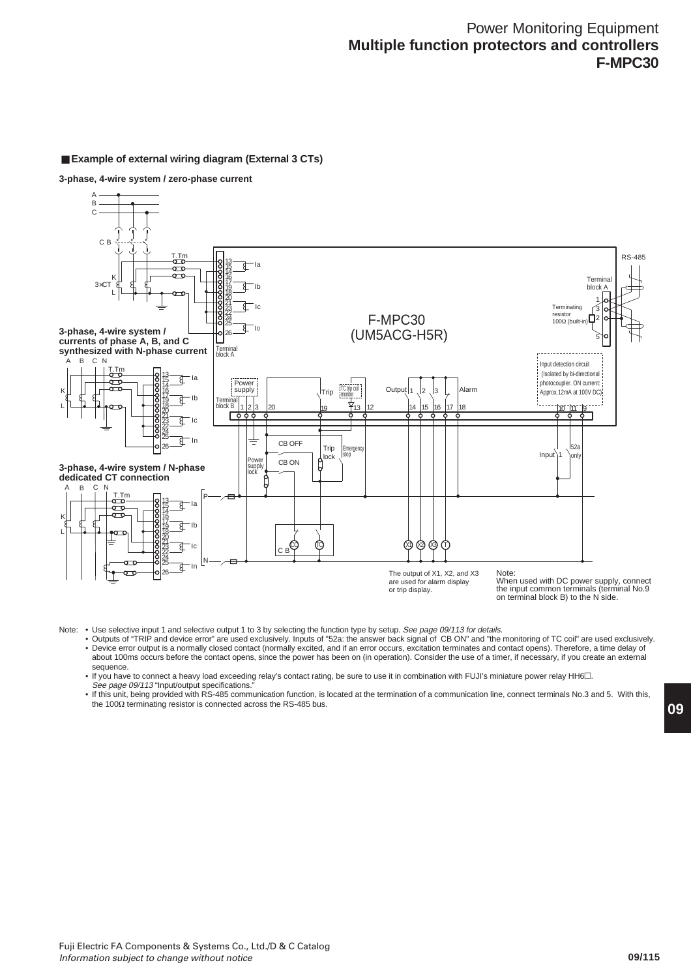#### A B C C B T.Tm  $R_{\rm S-485}$  RS-485 Ia 15  $\sigma$ 14 K 16 Terminal 17  $3\times$ CT Ib 19 block A 18 L 20 1 k 21 Ic **Terminating** 3 23 22 resistor F-MPC30 ጎ2 24 100Ω (built-in) 25 I0 **3-phase, 4-wire system /**  (UM5ACG-H5R) 26 5 **currents of phase A, B, and C synthesized with N-phase current** Terminal block A B C N Input detection circuit T.Tm (Isolated by bi-directional 13 Ia त्र 15 ᠳ photocoupler. ON current: Power 14 ᠳ Output  $\begin{bmatrix} 1 & 2 & 3 \end{bmatrix}$  Alarm supply | \frip TC trip coil .<br>Approx.12mA at 100V DC K 16 17 Ib ₹ 19 Terminal block B L 18 1 2 3 20 19 **1**413 12 14 15 16 17 18 **18 19 10 11 19 10 11 19 11 12 12 13 14 14 15 16 17 18** 20 D 21 ₫ Ic 23 22 24 25 त्र In  $CB$  OFF  $T$ ric 52a<br>onl 26 Emergency Input lock 1 stop CB ON Power supply lock **3-phase, 4-wire system / N-phase dedicated CT connection**  $B$   $C$ T.Tm P 13 ₹ Ia 15 a<br>a 14 16 K 17 ₹ Ib 19 L 18 20 21  $\otimes\otimes\otimes$   $\cap$ ₹ Ic CO (TC) 23 C B 22 24 N 25 đ In 26 The output of X1, X2, and X3 Note: When used with DC power supply, connect are used for alarm display or trip display. the input common terminals (terminal No.9 on terminal block B) to the N side.

### ■ **Example of external wiring diagram (External 3 CTs)**

**3-phase, 4-wire system / zero-phase current**

Note: . Use selective input 1 and selective output 1 to 3 by selecting the function type by setup. See page 09/113 for details.

• Outputs of "TRIP and device error" are used exclusively. Inputs of "52a: the answer back signal of CB ON" and "the monitoring of TC coil" are used exclusively. • Device error output is a normally closed contact (normally excited, and if an error occurs, excitation terminates and contact opens). Therefore, a time delay of about 100ms occurs before the contact opens, since the power has been on (in operation). Consider the use of a timer, if necessary, if you create an external sequence.

• If you have to connect a heavy load exceeding relay's contact rating, be sure to use it in combination with FUJI's miniature power relay HH6 $\square$ . See page 09/113 "Input/output specifications.

• If this unit, being provided with RS-485 communication function, is located at the termination of a communication line, connect terminals No.3 and 5. With this, the 100Ω terminating resistor is connected across the RS-485 bus.

**09**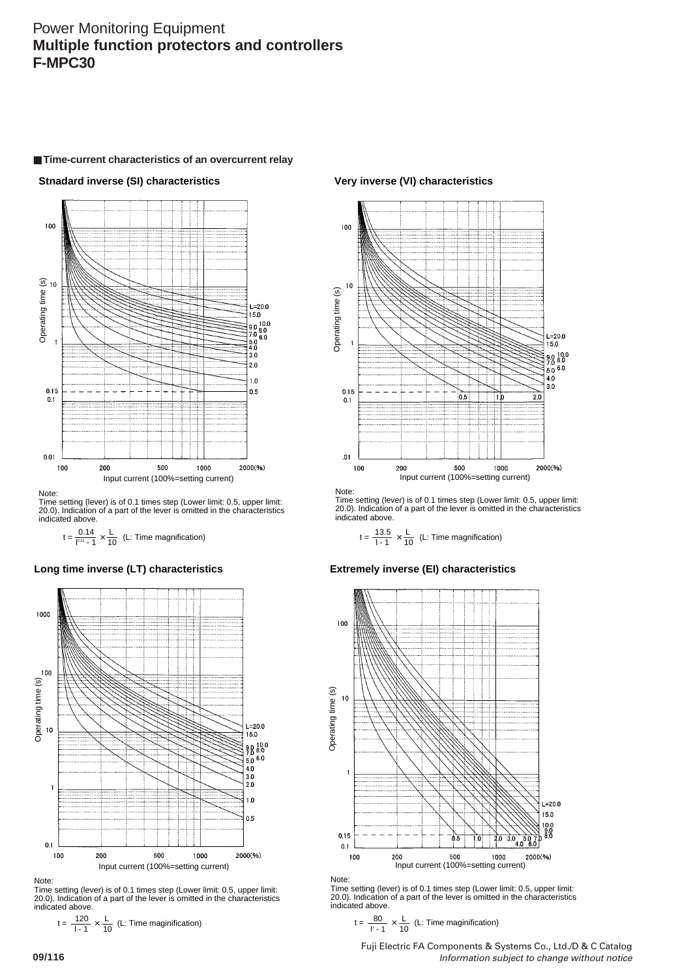## ■ **Time-current characteristics of an overcurrent relay**

**Stnadard inverse (SI) characteristics**



Note:

Time setting (lever) is of 0.1 times step (Lower limit: 0.5, upper limit: 20.0). Indication of a part of the lever is omitted in the characteristics indicated above.

 $10.02 - 1$ 0.14 10

## **Long time inverse (LT) characteristics**



Note:

Time setting (lever) is of 0.1 times step (Lower limit: 0.5, upper limit: 20.0). Indication of a part of the lever is omitted in the characteristics indicated above.

$$
t = \frac{120}{1 \cdot 1} \times \frac{L}{10}
$$
 (L: Time magnification)

**Very inverse (VI) characteristics**



Note:

Time setting (lever) is of 0.1 times step (Lower limit: 0.5, upper limit: 20.0). Indication of a part of the lever is omitted in the characteristics indicated above.

$$
t = \frac{0.14}{10^{-2} - 1} \times \frac{L}{10}
$$
 (L: Time magnification)  $t = \frac{13.5}{1 - 1} \times \frac{L}{10}$  (L: Time magnification)

**Extremely inverse (EI) characteristics**



Note:

Time setting (lever) is of 0.1 times step (Lower limit: 0.5, upper limit: 20.0). Indication of a part of the lever is omitted in the characteristics indicated above.

$$
t = \frac{80}{l^2 - 1} \times \frac{L}{10}
$$
 (L: Time magnification)

Fuji Electric FA Components & Systems Co., Ltd./D & C Catalog Information subject to change without notice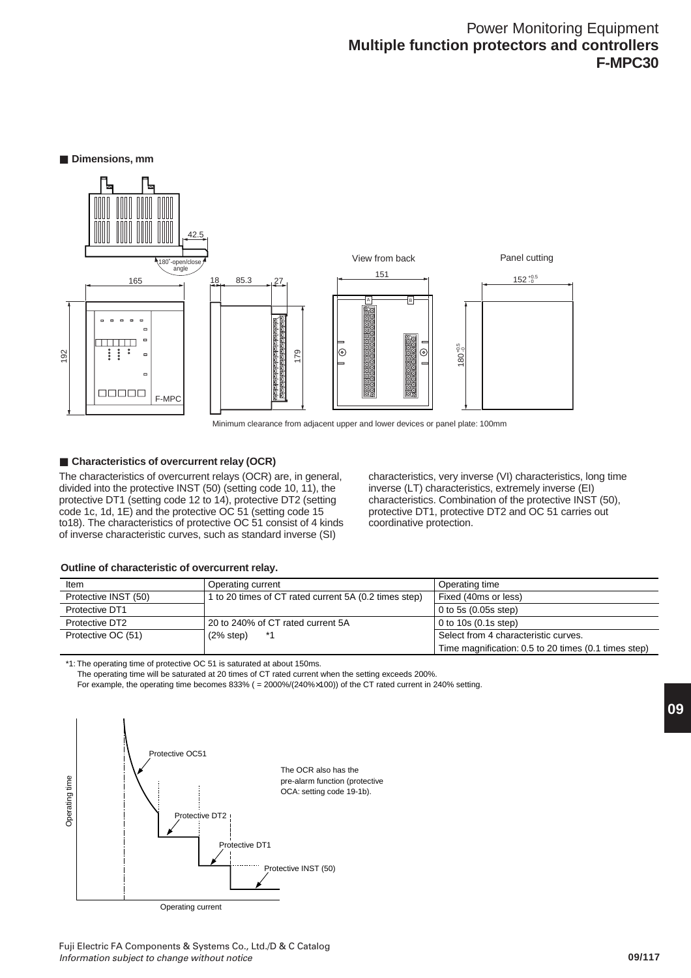■ **Dimensions**, mm



Minimum clearance from adjacent upper and lower devices or panel plate: 100mm

## ■ **Characteristics of overcurrent relay (OCR)**

The characteristics of overcurrent relays (OCR) are, in general, divided into the protective INST (50) (setting code 10, 11), the protective DT1 (setting code 12 to 14), protective DT2 (setting code 1c, 1d, 1E) and the protective OC 51 (setting code 15 to18). The characteristics of protective OC 51 consist of 4 kinds of inverse characteristic curves, such as standard inverse (SI)

characteristics, very inverse (VI) characteristics, long time inverse (LT) characteristics, extremely inverse (EI) characteristics. Combination of the protective INST (50), protective DT1, protective DT2 and OC 51 carries out coordinative protection.

## **Outline of characteristic of overcurrent relay.**

| Item                 | Operating current                                     | Operating time                                       |
|----------------------|-------------------------------------------------------|------------------------------------------------------|
| Protective INST (50) | 1 to 20 times of CT rated current 5A (0.2 times step) | Fixed (40ms or less)                                 |
| Protective DT1       |                                                       | $\vert$ 0 to 5s (0.05s step)                         |
| Protective DT2       | 20 to 240% of CT rated current 5A                     | $\vert$ 0 to 10s (0.1s step)                         |
| Protective OC (51)   | (2% step)<br>*1                                       | Select from 4 characteristic curves.                 |
|                      |                                                       | Time magnification: 0.5 to 20 times (0.1 times step) |

\*1: The operating time of protective OC 51 is saturated at about 150ms.

The operating time will be saturated at 20 times of CT rated current when the setting exceeds 200%.

For example, the operating time becomes 833% ( = 2000%/(240%×100)) of the CT rated current in 240% setting.

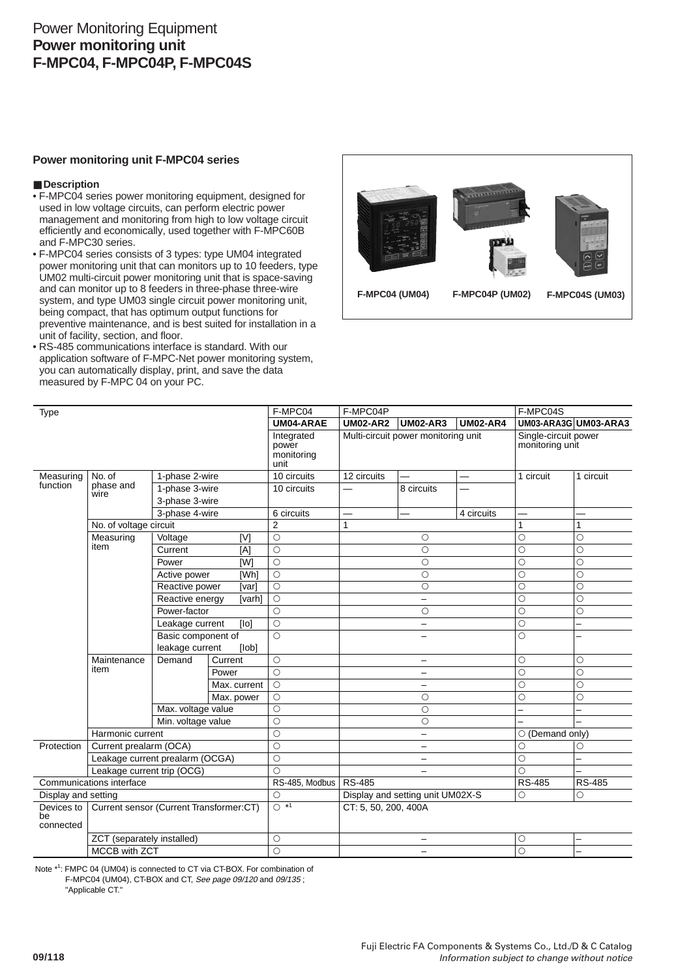# Power Monitoring Equipment **Power monitoring unit F-MPC04, F-MPC04P, F-MPC04S**

## **Power monitoring unit F-MPC04 series**

## ■**Description**

- F-MPC04 series power monitoring equipment, designed for used in low voltage circuits, can perform electric power management and monitoring from high to low voltage circuit efficiently and economically, used together with F-MPC60B and F-MPC30 series.
- F-MPC04 series consists of 3 types: type UM04 integrated power monitoring unit that can monitors up to 10 feeders, type UM02 multi-circuit power monitoring unit that is space-saving and can monitor up to 8 feeders in three-phase three-wire system, and type UM03 single circuit power monitoring unit, being compact, that has optimum output functions for preventive maintenance, and is best suited for installation in a unit of facility, section, and floor.
- RS-485 communications interface is standard. With our application software of F-MPC-Net power monitoring system, you can automatically display, print, and save the data measured by F-MPC 04 on your PC.



| Type                       |                                                      | F-MPC04                                        | F-MPC04P          |                                           |                          | F-MPC04S                            |                 |                                         |                          |
|----------------------------|------------------------------------------------------|------------------------------------------------|-------------------|-------------------------------------------|--------------------------|-------------------------------------|-----------------|-----------------------------------------|--------------------------|
|                            |                                                      |                                                |                   | UM04-ARAE                                 | <b>UM02-AR2</b>          | <b>UM02-AR3</b>                     | <b>UM02-AR4</b> |                                         | UM03-ARA3G UM03-ARA3     |
|                            |                                                      |                                                |                   | Integrated<br>power<br>monitoring<br>unit |                          | Multi-circuit power monitoring unit |                 | Single-circuit power<br>monitoring unit |                          |
| Measuring                  | No. of                                               | 1-phase 2-wire                                 |                   | 10 circuits                               | 12 circuits              |                                     |                 | 1 circuit                               | 1 circuit                |
| function                   | phase and<br>wire                                    | 1-phase 3-wire                                 |                   | 10 circuits                               |                          | 8 circuits                          |                 |                                         |                          |
|                            |                                                      | 3-phase 3-wire                                 |                   |                                           |                          |                                     |                 |                                         |                          |
|                            |                                                      | 3-phase 4-wire                                 |                   | 6 circuits                                |                          |                                     | 4 circuits      |                                         |                          |
|                            | No. of voltage circuit                               |                                                |                   | $\overline{2}$                            | 1                        |                                     |                 | 1                                       | 1                        |
|                            | Measuring                                            | Voltage                                        | [V]               | $\circ$                                   |                          | $\circ$                             |                 | Ó                                       | $\circ$                  |
|                            | item                                                 | Current                                        | [A]               | $\circ$                                   |                          | $\circ$                             |                 | Ó                                       | $\circ$                  |
|                            |                                                      | Power                                          | [W]               | $\bigcirc$                                |                          | $\circ$                             |                 | O                                       | O                        |
|                            |                                                      | Active power                                   | [Wh]              | $\bigcirc$                                |                          | $\circ$                             |                 | Ō                                       | $\circ$                  |
|                            |                                                      | Reactive power                                 | [var]             | $\circ$                                   |                          | $\circ$                             |                 | $\circ$                                 | $\circ$                  |
|                            |                                                      | Reactive energy                                | [varh]            | $\circ$                                   |                          | $\overline{\phantom{0}}$            |                 | $\circ$                                 | $\circ$                  |
|                            |                                                      | Power-factor                                   |                   | $\circ$                                   |                          | $\circ$                             |                 | $\circ$                                 | $\circ$                  |
|                            |                                                      | Leakage current                                | [IO]              | $\circ$                                   |                          | $\overline{\phantom{0}}$            |                 | О                                       | $\overline{\phantom{0}}$ |
|                            |                                                      | Basic component of<br>leakage current<br>[lob] |                   | $\circ$                                   |                          |                                     |                 | $\circ$                                 |                          |
|                            |                                                      |                                                |                   |                                           |                          |                                     |                 |                                         |                          |
|                            | Maintenance                                          | Demand                                         | Current           | $\circ$                                   |                          |                                     |                 | $\circ$                                 | $\circ$                  |
|                            | item                                                 |                                                | Power             | $\circ$                                   |                          |                                     |                 | $\circ$                                 | $\circ$                  |
|                            |                                                      |                                                | Max. current      | $\circ$                                   |                          | -                                   |                 | $\circ$                                 | $\circ$                  |
|                            |                                                      |                                                | Max. power        | $\circ$                                   |                          | $\circ$                             |                 | O                                       | $\circ$                  |
|                            |                                                      | Max. voltage value                             |                   | $\circ$                                   |                          | $\circ$                             |                 |                                         |                          |
|                            |                                                      | Min. voltage value                             |                   | $\overline{\circ}$                        | $\circ$                  |                                     |                 |                                         |                          |
|                            | Harmonic current                                     |                                                |                   | $\circ$                                   | $\overline{\phantom{0}}$ |                                     |                 | $\circ$ (Demand only)                   |                          |
| Protection                 | Current prealarm (OCA)                               |                                                |                   | $\circ$                                   | $\qquad \qquad -$        |                                     |                 | O                                       | О                        |
|                            | Leakage current prealarm (OCGA)                      |                                                |                   | $\circ$                                   | $\overline{\phantom{0}}$ |                                     |                 | $\circ$                                 |                          |
| Leakage current trip (OCG) |                                                      | $\bigcirc$                                     | -                 |                                           |                          | Ō                                   |                 |                                         |                          |
| Communications interface   |                                                      | RS-485, Modbus                                 | <b>RS-485</b>     |                                           |                          | <b>RS-485</b>                       | <b>RS-485</b>   |                                         |                          |
| Display and setting        |                                                      |                                                |                   | $\circ$                                   |                          | Display and setting unit UM02X-S    |                 | $\circ$                                 | $\circ$                  |
| be<br>connected            | Devices to   Current sensor (Current Transformer:CT) |                                                | $\overline{O}$ *1 | CT: 5, 50, 200, 400A                      |                          |                                     |                 |                                         |                          |
|                            | ZCT (separately installed)                           |                                                |                   | $\circ$                                   | -                        |                                     |                 | О                                       |                          |
|                            | <b>MCCB with ZCT</b>                                 |                                                | $\circ$           |                                           | $\overline{\phantom{0}}$ |                                     | $\circ$         | $\overline{\phantom{0}}$                |                          |

Note \*<sup>1</sup>: FMPC 04 (UM04) is connected to CT via CT-BOX. For combination of

F-MPC04 (UM04), CT-BOX and CT, See page 09/120 and 09/135 ;

"Applicable CT."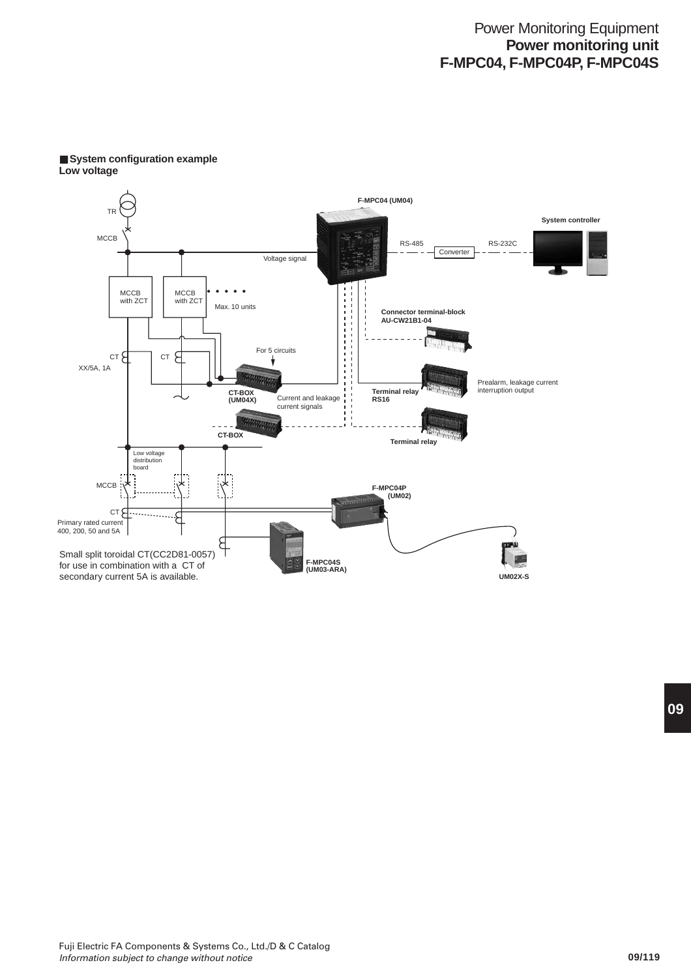# Power Monitoring Equipment **Power monitoring unit F-MPC04, F-MPC04P, F-MPC04S**



## ■ System configuration example **Low voltage**

**09**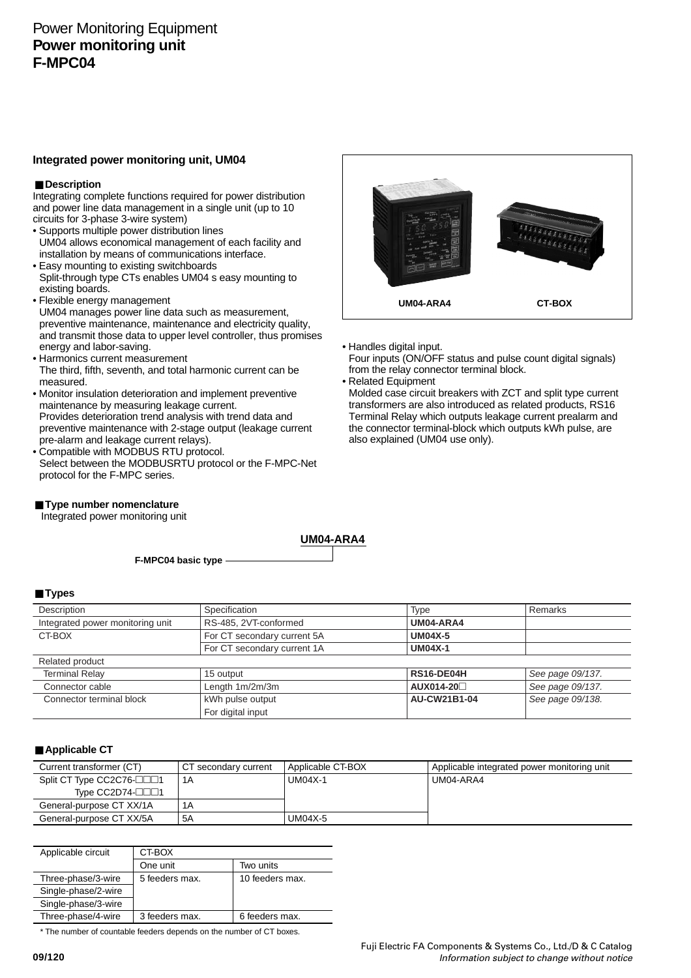# Power Monitoring Equipment **Power monitoring unit F-MPC04**

## **Integrated power monitoring unit, UM04**

## ■ Description

Integrating complete functions required for power distribution and power line data management in a single unit (up to 10 circuits for 3-phase 3-wire system)

- Supports multiple power distribution lines UM04 allows economical management of each facility and installation by means of communications interface.
- Easy mounting to existing switchboards Split-through type CTs enables UM04 s easy mounting to existing boards.
- Flexible energy management
- UM04 manages power line data such as measurement, preventive maintenance, maintenance and electricity quality, and transmit those data to upper level controller, thus promises energy and labor-saving.
- Harmonics current measurement The third, fifth, seventh, and total harmonic current can be measured.
- Monitor insulation deterioration and implement preventive maintenance by measuring leakage current. Provides deterioration trend analysis with trend data and preventive maintenance with 2-stage output (leakage current pre-alarm and leakage current relays).
- Compatible with MODBUS RTU protocol. Select between the MODBUSRTU protocol or the F-MPC-Net protocol for the F-MPC series.
- **Type number nomenclature**

Integrated power monitoring unit

**UM04-ARA4 CT-BOX**

- Handles digital input.
- Four inputs (ON/OFF status and pulse count digital signals) from the relay connector terminal block.
- Related Equipment

Molded case circuit breakers with ZCT and split type current transformers are also introduced as related products, RS16 Terminal Relay which outputs leakage current prealarm and the connector terminal-block which outputs kWh pulse, are also explained (UM04 use only).

**F-MPC04 basic type**

#### ■**Types**

| Description                      | Specification                      | <b>Type</b>    | Remarks          |
|----------------------------------|------------------------------------|----------------|------------------|
| Integrated power monitoring unit | RS-485, 2VT-conformed<br>UM04-ARA4 |                |                  |
| CT-BOX                           | For CT secondary current 5A        | <b>UM04X-5</b> |                  |
|                                  | For CT secondary current 1A        | <b>UM04X-1</b> |                  |
| Related product                  |                                    |                |                  |
| <b>Terminal Relay</b>            | 15 output                          | RS16-DE04H     | See page 09/137. |
| Connector cable                  | Length 1m/2m/3m                    | AUX014-20□     | See page 09/137. |
| Connector terminal block         | kWh pulse output                   | AU-CW21B1-04   | See page 09/138. |
|                                  | For digital input                  |                |                  |

**UM04-ARA4**

## ■ Applicable CT

| Current transformer (CT)        | CT secondary current | Applicable CT-BOX | Applicable integrated power monitoring unit |
|---------------------------------|----------------------|-------------------|---------------------------------------------|
| Split CT Type CC2C76-           | 1Α                   | UM04X-1           | UM04-ARA4                                   |
| Type $CC2D74$ - $\Box$ $\Box$ 1 |                      |                   |                                             |
| General-purpose CT XX/1A        | 1Α                   |                   |                                             |
| General-purpose CT XX/5A        | 5A                   | UM04X-5           |                                             |

| Applicable circuit  | CT-BOX         |                 |  |
|---------------------|----------------|-----------------|--|
|                     | One unit       | Two units       |  |
| Three-phase/3-wire  | 5 feeders max. | 10 feeders max. |  |
| Single-phase/2-wire |                |                 |  |
| Single-phase/3-wire |                |                 |  |
| Three-phase/4-wire  | 3 feeders max. | 6 feeders max.  |  |
|                     |                |                 |  |

\* The number of countable feeders depends on the number of CT boxes.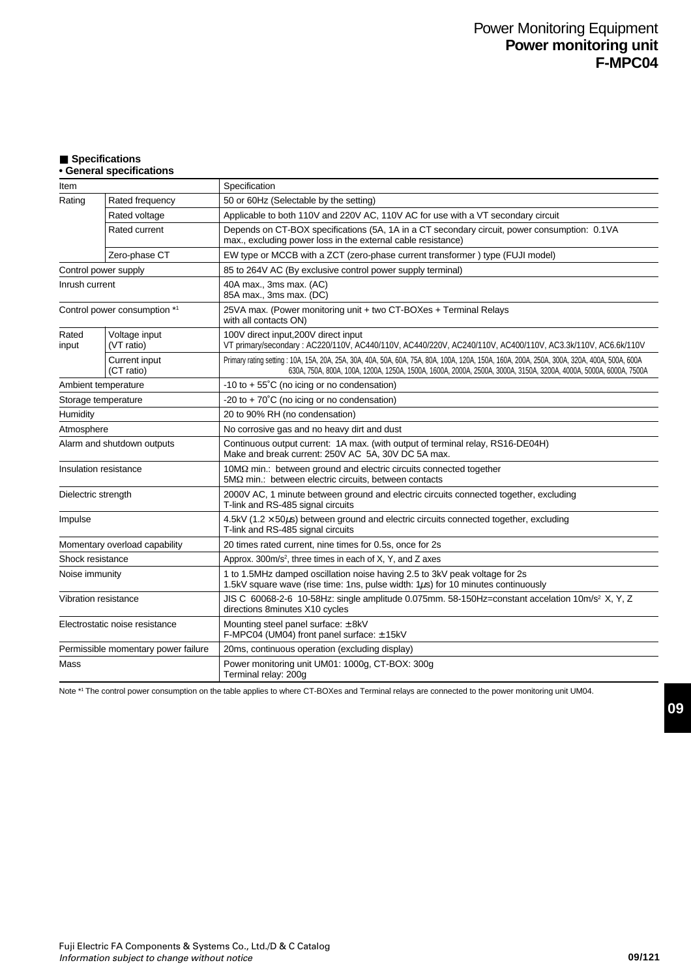## ■ **Specifications**

## **• General specifications**

| Item                           |                                     | Specification                                                                                                                                                                                                                                                   |  |  |  |
|--------------------------------|-------------------------------------|-----------------------------------------------------------------------------------------------------------------------------------------------------------------------------------------------------------------------------------------------------------------|--|--|--|
| Rating                         | Rated frequency                     | 50 or 60Hz (Selectable by the setting)                                                                                                                                                                                                                          |  |  |  |
|                                | Rated voltage                       | Applicable to both 110V and 220V AC, 110V AC for use with a VT secondary circuit                                                                                                                                                                                |  |  |  |
|                                | Rated current                       | Depends on CT-BOX specifications (5A, 1A in a CT secondary circuit, power consumption: 0.1VA<br>max., excluding power loss in the external cable resistance)                                                                                                    |  |  |  |
|                                | Zero-phase CT                       | EW type or MCCB with a ZCT (zero-phase current transformer) type (FUJI model)                                                                                                                                                                                   |  |  |  |
|                                | Control power supply                | 85 to 264V AC (By exclusive control power supply terminal)                                                                                                                                                                                                      |  |  |  |
| Inrush current                 |                                     | 40A max., 3ms max. (AC)<br>85A max., 3ms max. (DC)                                                                                                                                                                                                              |  |  |  |
|                                | Control power consumption *1        | 25VA max. (Power monitoring unit + two CT-BOXes + Terminal Relays<br>with all contacts ON)                                                                                                                                                                      |  |  |  |
| Rated<br>input                 | Voltage input<br>(VT ratio)         | 100V direct input, 200V direct input<br>VT primary/secondary: AC220/110V, AC440/110V, AC440/220V, AC240/110V, AC400/110V, AC3.3k/110V, AC6.6k/110V                                                                                                              |  |  |  |
|                                | Current input<br>(CT ratio)         | Primary rating setting: 10A, 15A, 20A, 25A, 30A, 40A, 50A, 60A, 75A, 80A, 100A, 120A, 150A, 160A, 200A, 250A, 300A, 320A, 400A, 500A, 600A<br>630A, 750A, 800A, 100A, 1200A, 1250A, 1500A, 1600A, 2000A, 2500A, 3000A, 3150A, 3200A, 4000A, 5000A, 6000A, 7500A |  |  |  |
|                                | Ambient temperature                 | -10 to $+55^{\circ}$ C (no icing or no condensation)                                                                                                                                                                                                            |  |  |  |
|                                | Storage temperature                 | -20 to + $70^{\circ}$ C (no icing or no condensation)                                                                                                                                                                                                           |  |  |  |
| Humidity                       |                                     | 20 to 90% RH (no condensation)                                                                                                                                                                                                                                  |  |  |  |
| Atmosphere                     |                                     | No corrosive gas and no heavy dirt and dust                                                                                                                                                                                                                     |  |  |  |
| Alarm and shutdown outputs     |                                     | Continuous output current: 1A max. (with output of terminal relay, RS16-DE04H)<br>Make and break current: 250V AC 5A, 30V DC 5A max.                                                                                                                            |  |  |  |
| Insulation resistance          |                                     | 10MΩ min.: between ground and electric circuits connected together<br>5MQ min.: between electric circuits, between contacts                                                                                                                                     |  |  |  |
| Dielectric strength            |                                     | 2000V AC, 1 minute between ground and electric circuits connected together, excluding<br>T-link and RS-485 signal circuits                                                                                                                                      |  |  |  |
| Impulse                        |                                     | 4.5kV (1.2 $\times$ 50 $\mu$ s) between ground and electric circuits connected together, excluding<br>T-link and RS-485 signal circuits                                                                                                                         |  |  |  |
|                                | Momentary overload capability       | 20 times rated current, nine times for 0.5s, once for 2s                                                                                                                                                                                                        |  |  |  |
| Shock resistance               |                                     | Approx. 300m/s <sup>2</sup> , three times in each of X, Y, and Z axes                                                                                                                                                                                           |  |  |  |
| Noise immunity                 |                                     | 1 to 1.5MHz damped oscillation noise having 2.5 to 3kV peak voltage for 2s<br>1.5kV square wave (rise time: 1ns, pulse width: $1\mu s$ ) for 10 minutes continuously                                                                                            |  |  |  |
| Vibration resistance           |                                     | JIS C 60068-2-6 10-58Hz: single amplitude 0.075mm. 58-150Hz=constant accelation 10m/s <sup>2</sup> X, Y, Z<br>directions 8minutes X10 cycles                                                                                                                    |  |  |  |
| Electrostatic noise resistance |                                     | Mounting steel panel surface: ± 8kV<br>F-MPC04 (UM04) front panel surface: ± 15kV                                                                                                                                                                               |  |  |  |
|                                | Permissible momentary power failure | 20ms, continuous operation (excluding display)                                                                                                                                                                                                                  |  |  |  |
| Mass                           |                                     | Power monitoring unit UM01: 1000g, CT-BOX: 300g<br>Terminal relay: 200g                                                                                                                                                                                         |  |  |  |

Note \*1 The control power consumption on the table applies to where CT-BOXes and Terminal relays are connected to the power monitoring unit UM04.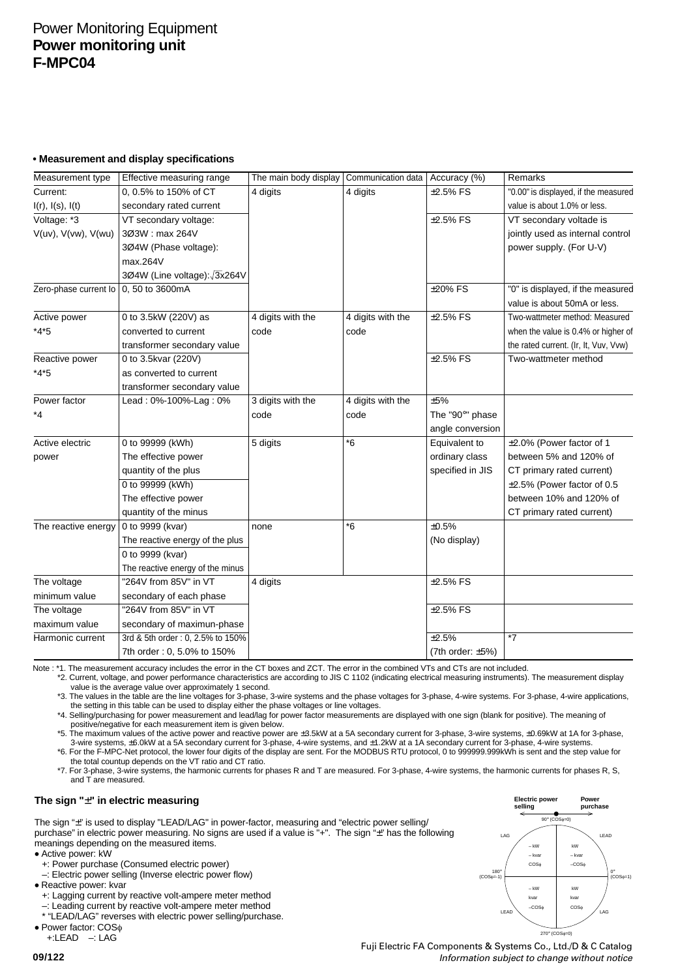# Power Monitoring Equipment **Power monitoring unit F-MPC04**

## **• Measurement and display specifications**

| Measurement type            | Effective measuring range        | The main body display | Communication data   Accuracy (%) |                         | Remarks                               |
|-----------------------------|----------------------------------|-----------------------|-----------------------------------|-------------------------|---------------------------------------|
| Current:                    | 0, 0.5% to 150% of CT            | 4 digits              | 4 digits                          | $±2.5\%$ FS             | "0.00" is displayed, if the measured  |
| $I(r)$ , $I(s)$ , $I(t)$    | secondary rated current          |                       |                                   |                         | value is about 1.0% or less.          |
| Voltage: *3                 | VT secondary voltage:            |                       |                                   | $\pm 2.5\%$ FS          | VT secondary voltade is               |
| $V(uv)$ , $V(vw)$ , $V(wu)$ | 303W: max 264V                   |                       |                                   |                         | jointly used as internal control      |
|                             | 3Ø4W (Phase voltage):            |                       |                                   |                         | power supply. (For U-V)               |
|                             | max.264V                         |                       |                                   |                         |                                       |
|                             | 3Ø4W (Line voltage): 3x264V      |                       |                                   |                         |                                       |
| Zero-phase current lo       | 0, 50 to 3600mA                  |                       |                                   | $±20\%$ FS              | "0" is displayed, if the measured     |
|                             |                                  |                       |                                   |                         | value is about 50mA or less.          |
| Active power                | 0 to 3.5kW (220V) as             | 4 digits with the     | 4 digits with the                 | $±2.5\%$ FS             | Two-wattmeter method: Measured        |
| $*4*5$                      | converted to current             | code                  | code                              |                         | when the value is 0.4% or higher of   |
|                             | transformer secondary value      |                       |                                   |                         | the rated current. (Ir, It, Vuv, Vvw) |
| Reactive power              | 0 to 3.5kvar (220V)              |                       |                                   | $±2.5\%$ FS             | Two-wattmeter method                  |
| $*4*5$                      | as converted to current          |                       |                                   |                         |                                       |
|                             | transformer secondary value      |                       |                                   |                         |                                       |
| Power factor                | Lead: 0%-100%-Lag: 0%            | 3 digits with the     | 4 digits with the                 | ±5%                     |                                       |
| *4                          |                                  | code                  | code                              | The "90°" phase         |                                       |
|                             |                                  |                       |                                   | angle conversion        |                                       |
| Active electric             | 0 to 99999 (kWh)                 | 5 digits              | $*6$                              | Equivalent to           | ±2.0% (Power factor of 1              |
| power                       | The effective power              |                       |                                   | ordinary class          | between 5% and 120% of                |
|                             | quantity of the plus             |                       |                                   | specified in JIS        | CT primary rated current)             |
|                             | 0 to 99999 (kWh)                 |                       |                                   |                         | ±2.5% (Power factor of 0.5            |
|                             | The effective power              |                       |                                   |                         | between 10% and 120% of               |
|                             | quantity of the minus            |                       |                                   |                         | CT primary rated current)             |
| The reactive energy         | 0 to 9999 (kvar)                 | none                  | *6                                | ±0.5%                   |                                       |
|                             | The reactive energy of the plus  |                       |                                   | (No display)            |                                       |
|                             | 0 to 9999 (kvar)                 |                       |                                   |                         |                                       |
|                             | The reactive energy of the minus |                       |                                   |                         |                                       |
| The voltage                 | "264V from 85V" in VT            | 4 digits              |                                   | $±2.5\%$ FS             |                                       |
| minimum value               | secondary of each phase          |                       |                                   |                         |                                       |
| The voltage                 | "264V from 85V" in VT            |                       |                                   | $±2.5%$ FS              |                                       |
| maximum value               | secondary of maximun-phase       |                       |                                   |                         |                                       |
| Harmonic current            | 3rd & 5th order: 0, 2.5% to 150% |                       |                                   | ±2.5%                   | $\overline{7}$                        |
|                             | 7th order: 0, 5.0% to 150%       |                       |                                   | (7th order: $\pm 5\%$ ) |                                       |

Note : \*1. The measurement accuracy includes the error in the CT boxes and ZCT. The error in the combined VTs and CTs are not included.

\*2. Current, voltage, and power performance characteristics are according to JIS C 1102 (indicating electrical measuring instruments). The measurement display value is the average value over approximately 1 second.

\*3. The values in the table are the line voltages for 3-phase, 3-wire systems and the phase voltages for 3-phase, 4-wire systems. For 3-phase, 4-wire applications, the setting in this table can be used to display either the phase voltages or line voltages.

\*4. Selling/purchasing for power measurement and lead/lag for power factor measurements are displayed with one sign (blank for positive). The meaning of positive/negative for each measurement item is given below.

\*5. The maximum values of the active power and reactive power are ±3.5kW at a 5A secondary current for 3-phase, 3-wire systems, ±0.69kW at 1A for 3-phase, 3-wire systems, ±6.0kW at a 5A secondary current for 3-phase, 4-wire systems, and ±1.2kW at a 1A secondary current for 3-phase, 4-wire systems. \*6. For the F-MPC-Net protocol, the lower four digits of the display are sent. For the MODBUS RTU protocol, 0 to 999999.999kWh is sent and the step value for

the total countup depends on the VT ratio and CT ratio. \*7. For 3-phase, 3-wire systems, the harmonic currents for phases R and T are measured. For 3-phase, 4-wire systems, the harmonic currents for phases R, S, and T are measured.

## **The sign "**±**" in electric measuring**

The sign "±" is used to display "LEAD/LAG" in power-factor, measuring and "electric power selling/ purchase" in electric power measuring. No signs are used if a value is "+". The sign "±" has the following purchase" in electric power measuring. No signs are used if a value is "+". The sign "±" has the following meanings depending on the measured items.

• Active power: kW

+: Power purchase (Consumed electric power)

–: Electric power selling (Inverse electric power flow)

• Reactive power: kvar

+: Lagging current by reactive volt-ampere meter method

–: Leading current by reactive volt-ampere meter method

\* "LEAD/LAG" reverses with electric power selling/purchase.

• Power factor: COS<sup>φ</sup>

+:LEAD –: LAG

Fuji Electric FA Components & Systems Co., Ltd./D & C Catalog Information subject to change without notice

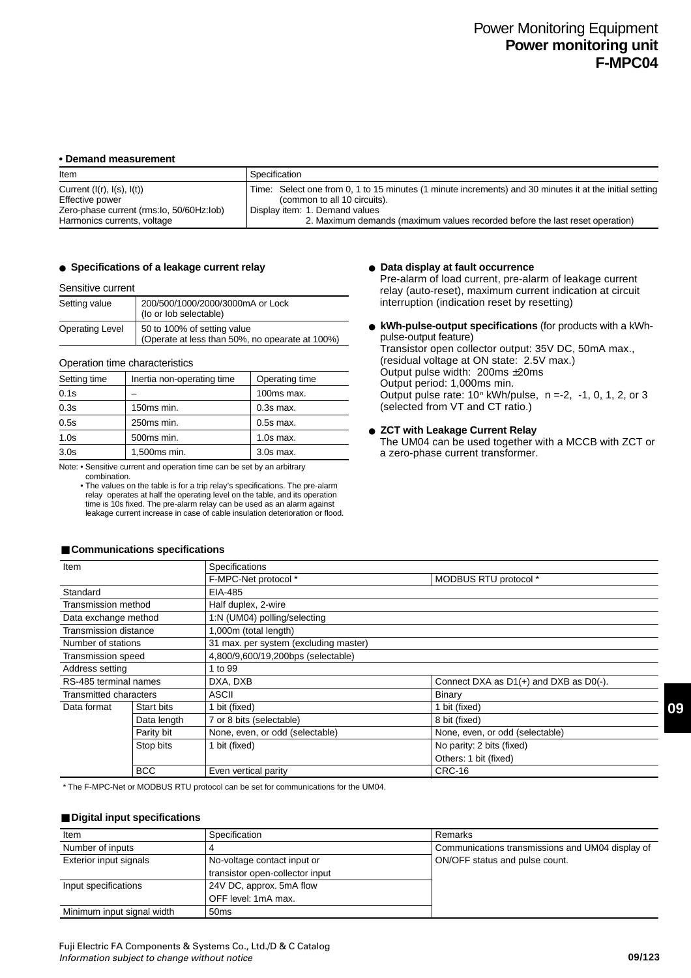#### **• Demand measurement**

| Item                                     | Specification                                                                                           |
|------------------------------------------|---------------------------------------------------------------------------------------------------------|
| Current $(I(r), I(s), I(t))$             | Time: Select one from 0, 1 to 15 minutes (1 minute increments) and 30 minutes it at the initial setting |
| Effective power                          | (common to all 10 circuits).                                                                            |
| Zero-phase current (rms:lo, 50/60Hz:lob) | Display item: 1. Demand values                                                                          |
| Harmonics currents, voltage              | 2. Maximum demands (maximum values recorded before the last reset operation)                            |

## ● Specifications of a leakage current relay **● Data display at fault occurrence**

#### Sensitive current

| Setting value   | 200/500/1000/2000/3000mA or Lock<br>(lo or lob selectable)                     |  |  |
|-----------------|--------------------------------------------------------------------------------|--|--|
| Operating Level | 50 to 100% of setting value<br>(Operate at less than 50%, no opearate at 100%) |  |  |

#### Operation time characteristics

| Setting time     | Inertia non-operating time | Operating time |
|------------------|----------------------------|----------------|
| 0.1s             |                            | 100ms max.     |
| 0.3s             | 150ms min.                 | $0.3s$ max.    |
| 0.5s             | 250ms min.                 | $0.5s$ max.    |
| 1.0s             | 500ms min.                 | $1.0s$ max.    |
| 3.0 <sub>s</sub> | 1,500ms min.               | $3.0s$ max.    |

Note: • Sensitive current and operation time can be set by an arbitrary combination.

• The values on the table is for a trip relay's specifications. The pre-alarm relay operates at half the operating level on the table, and its operation time is 10s fixed. The pre-alarm relay can be used as an alarm against leakage current increase in case of cable insulation deterioration or flood.

Pre-alarm of load current, pre-alarm of leakage current relay (auto-reset), maximum current indication at circuit interruption (indication reset by resetting)

● **kWh-pulse-output specifications** (for products with a kWhpulse-output feature) Transistor open collector output: 35V DC, 50mA max., (residual voltage at ON state: 2.5V max.) Output pulse width: 200ms ±20ms Output period: 1,000ms min. Output pulse rate:  $10<sup>n</sup>$  kWh/pulse,  $n = -2, -1, 0, 1, 2,$  or 3

## ● **ZCT with Leakage Current Relay** The UM04 can be used together with a MCCB with ZCT or

a zero-phase current transformer.

(selected from VT and CT ratio.)

| Item                   |             | Specifications                        |                                        |  |  |  |
|------------------------|-------------|---------------------------------------|----------------------------------------|--|--|--|
|                        |             | F-MPC-Net protocol *                  | MODBUS RTU protocol *                  |  |  |  |
| Standard               |             | EIA-485                               |                                        |  |  |  |
| Transmission method    |             | Half duplex, 2-wire                   |                                        |  |  |  |
| Data exchange method   |             | 1:N (UM04) polling/selecting          |                                        |  |  |  |
| Transmission distance  |             | 1,000m (total length)                 |                                        |  |  |  |
| Number of stations     |             | 31 max. per system (excluding master) |                                        |  |  |  |
| Transmission speed     |             | 4,800/9,600/19,200bps (selectable)    |                                        |  |  |  |
| Address setting        |             | 1 to 99                               |                                        |  |  |  |
| RS-485 terminal names  |             | DXA, DXB                              | Connect DXA as D1(+) and DXB as D0(-). |  |  |  |
| Transmitted characters |             | ASCII                                 | Binary                                 |  |  |  |
| Data format            | Start bits  | bit (fixed)                           | 1 bit (fixed)                          |  |  |  |
|                        | Data length | 7 or 8 bits (selectable)              | 8 bit (fixed)                          |  |  |  |
|                        | Parity bit  | None, even, or odd (selectable)       | None, even, or odd (selectable)        |  |  |  |
|                        | Stop bits   | bit (fixed)                           | No parity: 2 bits (fixed)              |  |  |  |
|                        |             |                                       | Others: 1 bit (fixed)                  |  |  |  |
|                        | <b>BCC</b>  | Even vertical parity                  | <b>CRC-16</b>                          |  |  |  |

#### ■ Communications specifications

\* The F-MPC-Net or MODBUS RTU protocol can be set for communications for the UM04.

#### ■ **Digital input specifications**

| Item                       | Specification                   | Remarks                                          |
|----------------------------|---------------------------------|--------------------------------------------------|
| Number of inputs           |                                 | Communications transmissions and UM04 display of |
| Exterior input signals     | No-voltage contact input or     | ON/OFF status and pulse count.                   |
|                            | transistor open-collector input |                                                  |
| Input specifications       | 24V DC, approx. 5mA flow        |                                                  |
|                            | OFF level: 1mA max.             |                                                  |
| Minimum input signal width | 50 <sub>ms</sub>                |                                                  |

**09**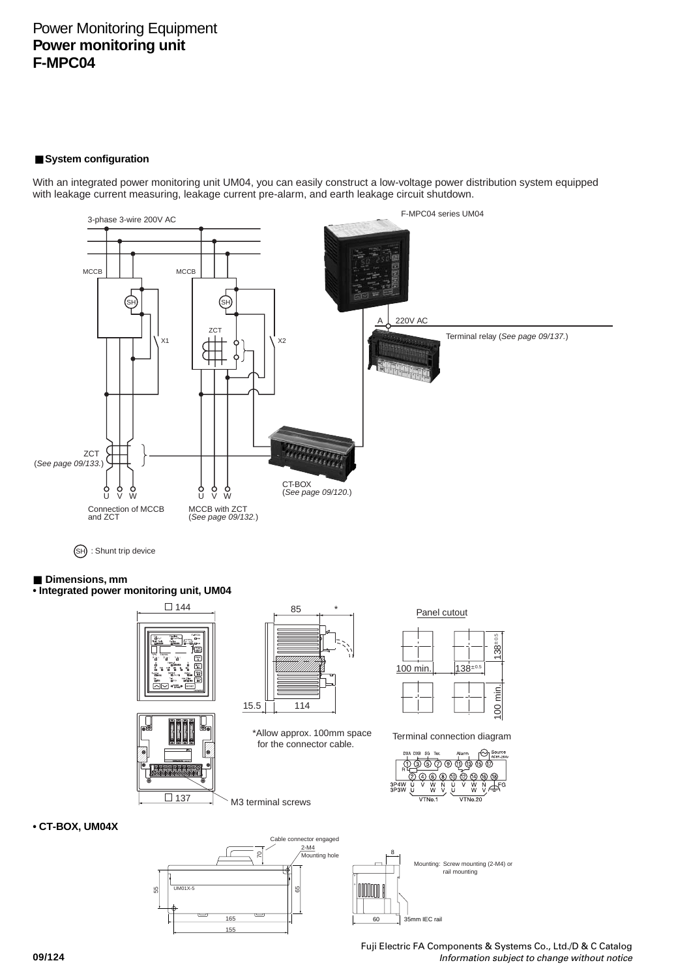# Power Monitoring Equipment **Power monitoring unit F-MPC04**

## ■ System configuration

With an integrated power monitoring unit UM04, you can easily construct a low-voltage power distribution system equipped with leakage current measuring, leakage current pre-alarm, and earth leakage circuit shutdown.



SH : Shunt trip device

## ■ **Dimensions**, mm

**• Integrated power monitoring unit, UM04**







\*Allow approx. 100mm space for the connector cable.

Panel cutout



Terminal connection diagram



## **• CT-BOX, UM04X**



M3 terminal screws



8

Fuji Electric FA Components & Systems Co., Ltd./D & C Catalog Information subject to change without notice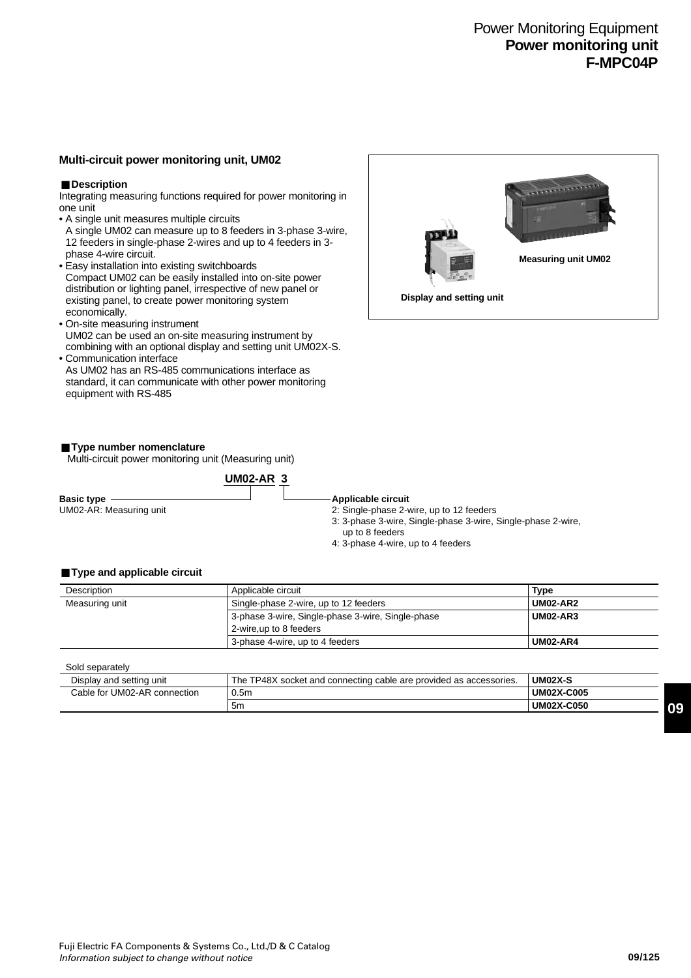# Power Monitoring Equipment **Power monitoring unit F-MPC04P**

## **Multi-circuit power monitoring unit, UM02**

## ■ **Description**

Integrating measuring functions required for power monitoring in one unit

- A single unit measures multiple circuits A single UM02 can measure up to 8 feeders in 3-phase 3-wire, 12 feeders in single-phase 2-wires and up to 4 feeders in 3-
- phase 4-wire circuit. • Easy installation into existing switchboards Compact UM02 can be easily installed into on-site power distribution or lighting panel, irrespective of new panel or existing panel, to create power monitoring system economically.
- On-site measuring instrument UM02 can be used an on-site measuring instrument by combining with an optional display and setting unit UM02X-S.
- Communication interface As UM02 has an RS-485 communications interface as standard, it can communicate with other power monitoring equipment with RS-485



Multi-circuit power monitoring unit (Measuring unit)

|                         | $UMO2-AR3$ |                                                                                 |
|-------------------------|------------|---------------------------------------------------------------------------------|
| <b>Basic type</b>       |            | Applicable circuit                                                              |
| UM02-AR: Measuring unit |            | 2: Single-phase 2-wire, up to 12 feeders                                        |
|                         |            | 3: 3-phase 3-wire, Single-phase 3-wire, Single-phase 2-wire,<br>up to 8 feeders |
|                         |            | 4: 3-phase 4-wire, up to 4 feeders                                              |

#### ■ **Type and applicable circuit**

| Description    | Applicable circuit                                | <b>Type</b>     |
|----------------|---------------------------------------------------|-----------------|
| Measuring unit | Single-phase 2-wire, up to 12 feeders             |                 |
|                | 3-phase 3-wire, Single-phase 3-wire, Single-phase | <b>UM02-AR3</b> |
|                | 2-wire,up to 8 feeders                            |                 |
|                | 3-phase 4-wire, up to 4 feeders                   | <b>UM02-AR4</b> |

Sold separately

| ---------------              |                                                                    |                   |
|------------------------------|--------------------------------------------------------------------|-------------------|
| Display and setting unit     | The TP48X socket and connecting cable are provided as accessories. | UM02X-S           |
| Cable for UM02-AR connection | 0.5m                                                               | <b>UM02X-C005</b> |
|                              | 5m                                                                 | <b>UM02X-C050</b> |

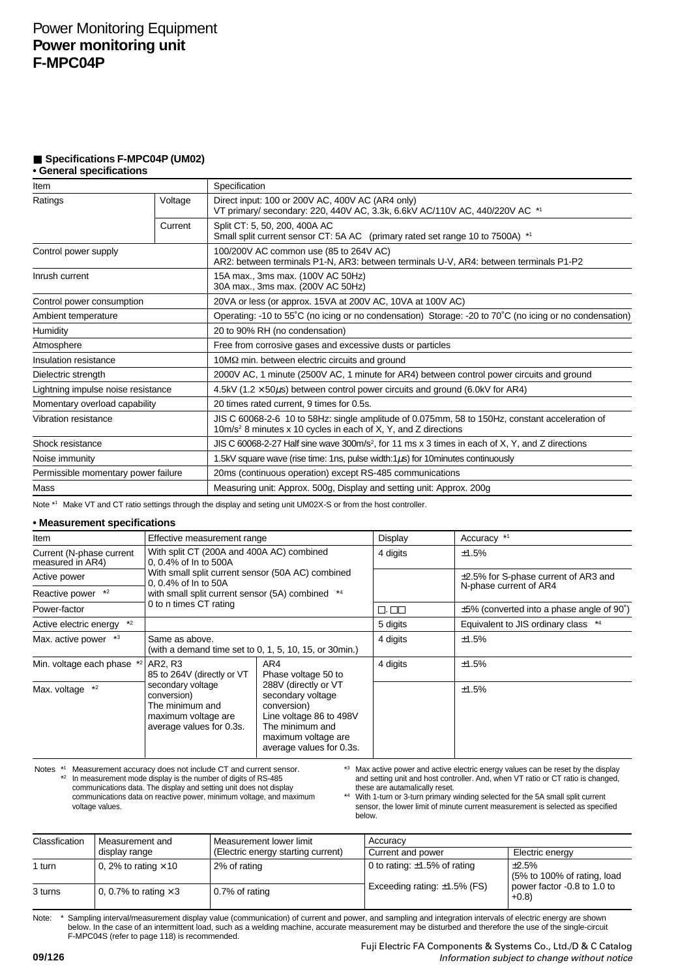## ■ **Specifications F-MPC04P (UM02)**

## **• General specifications**

| Item                                |         | Specification                                                                                                                                                      |  |  |  |
|-------------------------------------|---------|--------------------------------------------------------------------------------------------------------------------------------------------------------------------|--|--|--|
| Voltage<br>Ratings                  |         | Direct input: 100 or 200V AC, 400V AC (AR4 only)<br>VT primary/ secondary: 220, 440V AC, 3.3k, 6.6kV AC/110V AC, 440/220V AC *1                                    |  |  |  |
|                                     | Current | Split CT: 5, 50, 200, 400A AC<br>Small split current sensor CT: 5A AC (primary rated set range 10 to 7500A) *1                                                     |  |  |  |
| Control power supply                |         | 100/200V AC common use (85 to 264V AC)<br>AR2: between terminals P1-N, AR3: between terminals U-V, AR4: between terminals P1-P2                                    |  |  |  |
| Inrush current                      |         | 15A max., 3ms max. (100V AC 50Hz)<br>30A max., 3ms max. (200V AC 50Hz)                                                                                             |  |  |  |
| Control power consumption           |         | 20VA or less (or approx. 15VA at 200V AC, 10VA at 100V AC)                                                                                                         |  |  |  |
| Ambient temperature                 |         | Operating: -10 to 55°C (no icing or no condensation) Storage: -20 to 70°C (no icing or no condensation)                                                            |  |  |  |
| Humidity                            |         | 20 to 90% RH (no condensation)                                                                                                                                     |  |  |  |
| Atmosphere                          |         | Free from corrosive gases and excessive dusts or particles                                                                                                         |  |  |  |
| Insulation resistance               |         | $10\text{M}\Omega$ min. between electric circuits and ground                                                                                                       |  |  |  |
| Dielectric strength                 |         | 2000V AC, 1 minute (2500V AC, 1 minute for AR4) between control power circuits and ground                                                                          |  |  |  |
| Lightning impulse noise resistance  |         | 4.5kV (1.2 $\times$ 50 $\mu$ s) between control power circuits and ground (6.0kV for AR4)                                                                          |  |  |  |
| Momentary overload capability       |         | 20 times rated current, 9 times for 0.5s.                                                                                                                          |  |  |  |
| Vibration resistance                |         | JIS C 60068-2-6 10 to 58Hz: single amplitude of 0.075mm, 58 to 150Hz, constant acceleration of<br>$10m/s2$ 8 minutes x 10 cycles in each of X, Y, and Z directions |  |  |  |
| Shock resistance                    |         | JIS C 60068-2-27 Half sine wave 300m/s <sup>2</sup> , for 11 ms x 3 times in each of X, Y, and Z directions                                                        |  |  |  |
| Noise immunity                      |         | 1.5kV square wave (rise time: 1ns, pulse width: $1\mu s$ ) for 10 minutes continuously                                                                             |  |  |  |
| Permissible momentary power failure |         | 20ms (continuous operation) except RS-485 communications                                                                                                           |  |  |  |
| Mass                                |         | Measuring unit: Approx. 500g, Display and setting unit: Approx. 200g                                                                                               |  |  |  |

Note \*1 Make VT and CT ratio settings through the display and seting unit UM02X-S or from the host controller.

## **• Measurement specifications**

| Item                                         | Effective measurement range                                                                                                                             |                                                                                                                                                                                         | Display  | Accuracy *1                                     |
|----------------------------------------------|---------------------------------------------------------------------------------------------------------------------------------------------------------|-----------------------------------------------------------------------------------------------------------------------------------------------------------------------------------------|----------|-------------------------------------------------|
| Current (N-phase current<br>measured in AR4) | With split CT (200A and 400A AC) combined<br>0, 0.4% of In to 500A                                                                                      |                                                                                                                                                                                         | 4 digits | ±1.5%                                           |
| Active power                                 | With small split current sensor (50A AC) combined<br>0. 0.4% of In to 50A<br>with small split current sensor (5A) combined *4<br>0 to n times CT rating |                                                                                                                                                                                         |          | $\pm$ 2.5% for S-phase current of AR3 and       |
| $*2$<br>Reactive power                       |                                                                                                                                                         |                                                                                                                                                                                         |          | N-phase current of AR4                          |
| Power-factor                                 |                                                                                                                                                         |                                                                                                                                                                                         | 0. 00    | $\pm 5\%$ (converted into a phase angle of 90°) |
| $*2$<br>Active electric energy               |                                                                                                                                                         |                                                                                                                                                                                         | 5 digits | Equivalent to JIS ordinary class *4             |
| Max. active power *3                         | Same as above.<br>(with a demand time set to 0, 1, 5, 10, 15, or 30 min.)                                                                               |                                                                                                                                                                                         | 4 digits | ±1.5%                                           |
| Min. voltage each phase *2                   | AR2, R3<br>85 to 264V (directly or VT<br>secondary voltage<br>conversion)<br>The minimum and<br>maximum voltage are<br>average values for 0.3s.         | AR4<br>Phase voltage 50 to<br>288V (directly or VT<br>secondary voltage<br>conversion)<br>Line voltage 86 to 498V<br>The minimum and<br>maximum voltage are<br>average values for 0.3s. | 4 digits | ±1.5%                                           |
| Max. voltage *2                              |                                                                                                                                                         |                                                                                                                                                                                         |          | ±1.5%                                           |

Notes \*1 Measurement accuracy does not include CT and current sensor.<br>
<sup>\*2</sup> In measurement mode display is the number of digits of RS-485 communications data. The display and setting unit does not display communications data on reactive power, minimum voltage, and maximum voltage values.

\*3 Max active power and active electric energy values can be reset by the display and setting unit and host controller. And, when VT ratio or CT ratio is changed, these are autamalically reset.

\*4 With 1-turn or 3-turn primary winding selected for the 5A small split current sensor, the lower limit of minute current measurement is selected as specified below.

| Classfication | Measurement and              | Measurement lower limit<br>(Electric energy starting current) | Accuracy                           |                                                                                 |  |
|---------------|------------------------------|---------------------------------------------------------------|------------------------------------|---------------------------------------------------------------------------------|--|
|               | display range                |                                                               | Current and power                  | Electric energy                                                                 |  |
| 1 turn        | 0, 2% to rating $\times$ 10  | 2% of rating                                                  | 0 to rating: $\pm$ 1.5% of rating  | $+2.5%$<br>(5% to 100% of rating, load<br>power factor -0.8 to 1.0 to<br>$+0.8$ |  |
| 3 turns       | 0, 0.7% to rating $\times$ 3 | 0.7% of rating                                                | Exceeding rating: $\pm 1.5\%$ (FS) |                                                                                 |  |

Note: Sampling interval/measurement display value (communication) of current and power, and sampling and integration intervals of electric energy are shown below. In the case of an intermittent load, such as a welding machine, accurate measurement may be disturbed and therefore the use of the single-circuit F-MPC04S (refer to page 118) is recommended.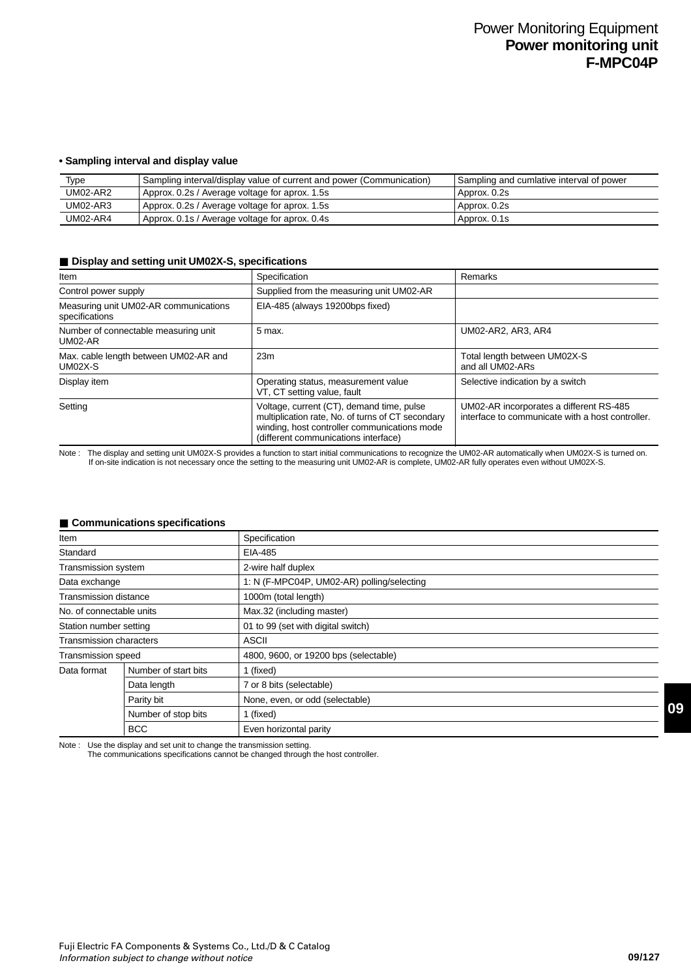## **• Sampling interval and display value**

| Type            | Sampling interval/display value of current and power (Communication) | Sampling and cumlative interval of power |
|-----------------|----------------------------------------------------------------------|------------------------------------------|
| <b>UM02-AR2</b> | Approx. 0.2s / Average voltage for aprox. 1.5s                       | Approx. 0.2s                             |
| <b>UM02-AR3</b> | Approx. 0.2s / Average voltage for aprox. 1.5s                       | Approx. 0.2s                             |
| <b>UM02-AR4</b> | Approx. 0.1s / Average voltage for aprox. 0.4s                       | Approx. 0.1s                             |

#### ■ **Display and setting unit UM02X-S, specifications**

| Specification<br>Item                                   |                                                                                                                                                                                        | Remarks                                                                                     |
|---------------------------------------------------------|----------------------------------------------------------------------------------------------------------------------------------------------------------------------------------------|---------------------------------------------------------------------------------------------|
| Control power supply                                    | Supplied from the measuring unit UM02-AR                                                                                                                                               |                                                                                             |
| Measuring unit UM02-AR communications<br>specifications | EIA-485 (always 19200bps fixed)                                                                                                                                                        |                                                                                             |
| Number of connectable measuring unit<br>$UMO2-AR$       | 5 max.                                                                                                                                                                                 | UM02-AR2, AR3, AR4                                                                          |
| Max. cable length between UM02-AR and<br>$UMO2X-S$      | 23m                                                                                                                                                                                    | Total length between UM02X-S<br>and all UM02-ARs                                            |
| Display item                                            | Operating status, measurement value<br>VT, CT setting value, fault                                                                                                                     | Selective indication by a switch                                                            |
| Setting                                                 | Voltage, current (CT), demand time, pulse<br>multiplication rate, No. of turns of CT secondary<br>winding, host controller communications mode<br>(different communications interface) | UM02-AR incorporates a different RS-485<br>interface to communicate with a host controller. |

Note : The display and setting unit UM02X-S provides a function to start initial communications to recognize the UM02-AR automatically when UM02X-S is turned on. If on-site indication is not necessary once the setting to the measuring unit UM02-AR is complete, UM02-AR fully operates even without UM02X-S.

## ■ **Communications specifications**

| Item                           |                      | Specification                              |  |
|--------------------------------|----------------------|--------------------------------------------|--|
| Standard                       |                      | EIA-485                                    |  |
| Transmission system            |                      | 2-wire half duplex                         |  |
| Data exchange                  |                      | 1: N (F-MPC04P, UM02-AR) polling/selecting |  |
| <b>Transmission distance</b>   |                      | 1000m (total length)                       |  |
| No. of connectable units       |                      | Max.32 (including master)                  |  |
| Station number setting         |                      | 01 to 99 (set with digital switch)         |  |
| <b>Transmission characters</b> |                      | <b>ASCII</b>                               |  |
| Transmission speed             |                      | 4800, 9600, or 19200 bps (selectable)      |  |
| Data format                    | Number of start bits | 1 (fixed)                                  |  |
| Data length                    |                      | 7 or 8 bits (selectable)                   |  |
|                                | Parity bit           | None, even, or odd (selectable)            |  |
|                                | Number of stop bits  | 1 (fixed)                                  |  |
|                                | <b>BCC</b>           | Even horizontal parity                     |  |

Note : Use the display and set unit to change the transmission setting.

The communications specifications cannot be changed through the host controller.

**09**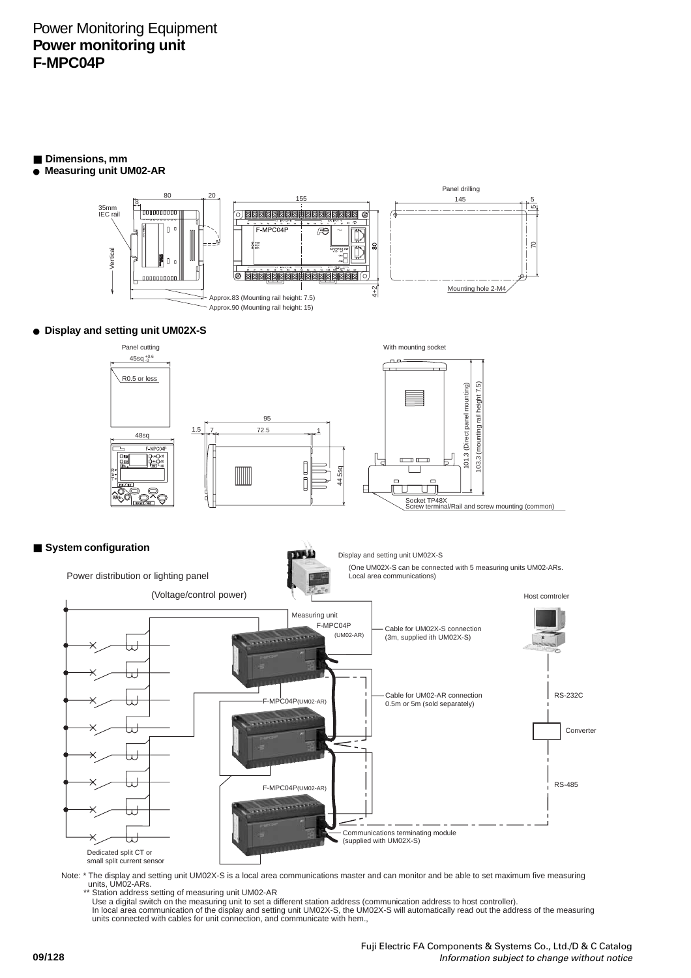# Power Monitoring Equipment **Power monitoring unit F-MPC04P**

- **Dimensions, mm**
- ● **Measuring unit UM02-AR**



● **Display and setting unit UM02X-S**



## ■ **System configuration**



Note: \* The display and setting unit UM02X-S is a local area communications master and can monitor and be able to set maximum five measuring<br>units, UM02-ARs.<br>\*\* Station address setting of measuring unit UM02-AR

Use a digital switch on the measuring unit to set a different station address (communication address to host controller).<br>In local area communication of the display and setting unit UM02X-S, the UM02X-S will automatically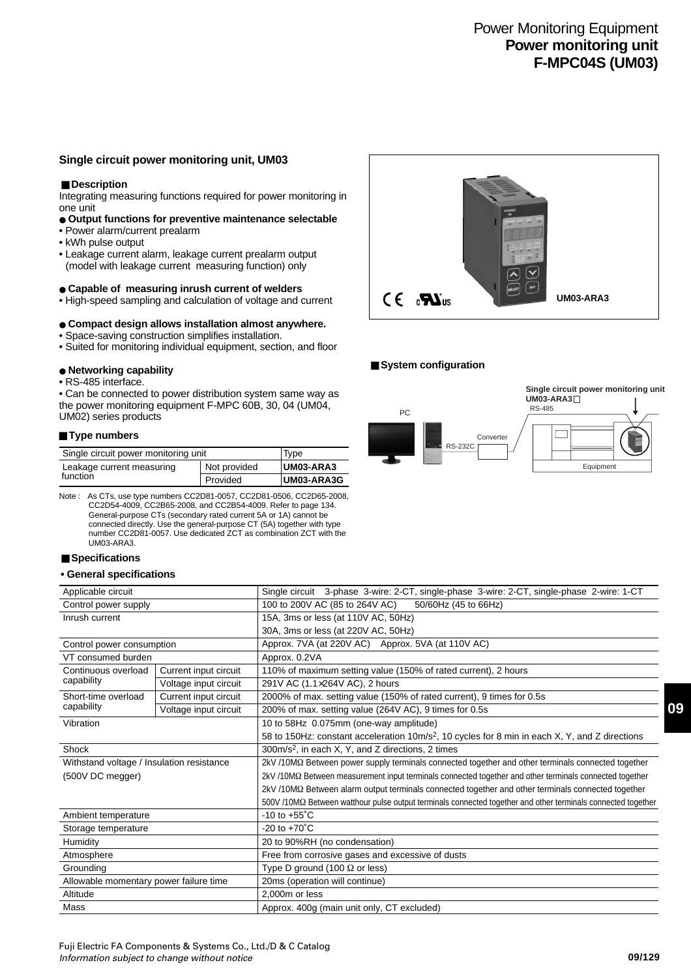# Power Monitoring Equipment **Power monitoring unit F-MPC04S (UM03)**

## **Single circuit power monitoring unit, UM03**

#### ■ **Description**

Integrating measuring functions required for power monitoring in one unit

- ● **Output functions for preventive maintenance selectable**
- Power alarm/current prealarm
- kWh pulse output
- Leakage current alarm, leakage current prealarm output (model with leakage current measuring function) only

#### ● **Capable of measuring inrush current of welders**

• High-speed sampling and calculation of voltage and current

## ● **Compact design allows installation almost anywhere.**

- Space-saving construction simplifies installation.
- Suited for monitoring individual equipment, section, and floor

## ● **Networking capability**

• RS-485 interface.

• Can be connected to power distribution system same way as the power monitoring equipment F-MPC 60B, 30, 04 (UM04, UM02) series products

#### ■**Type numbers**

| Single circuit power monitoring unit | Type         |            |
|--------------------------------------|--------------|------------|
| Leakage current measuring            | Not provided | UM03-ARA3  |
| function                             | Provided     | UM03-ARA3G |

Note : As CTs, use type numbers CC2D81-0057, CC2D81-0506, CC2D65-2008, CC2D54-4009, CC2B65-2008, and CC2B54-4009. Refer to page 134. General-purpose CTs (secondary rated current 5A or 1A) cannot be connected directly. Use the general-purpose CT (5A) together with type number CC2D81-0057. Use dedicated ZCT as combination ZCT with the UM03-ARA3.

#### ■ Specifications

Mass

#### **• General specifications**

| Applicable circuit                        |                       | Single circuit 3-phase 3-wire: 2-CT, single-phase 3-wire: 2-CT, single-phase 2-wire: 1-CT                    |  |
|-------------------------------------------|-----------------------|--------------------------------------------------------------------------------------------------------------|--|
| Control power supply                      |                       | 100 to 200V AC (85 to 264V AC)<br>50/60Hz (45 to 66Hz)                                                       |  |
| Inrush current                            |                       | 15A, 3ms or less (at 110V AC, 50Hz)                                                                          |  |
|                                           |                       | 30A, 3ms or less (at 220V AC, 50Hz)                                                                          |  |
| Control power consumption                 |                       | Approx. 7VA (at 220V AC) Approx. 5VA (at 110V AC)                                                            |  |
| VT consumed burden                        |                       | Approx. 0.2VA                                                                                                |  |
| Continuous overload                       | Current input circuit | 110% of maximum setting value (150% of rated current), 2 hours                                               |  |
| capability                                | Voltage input circuit | 291V AC (1.1×264V AC), 2 hours                                                                               |  |
| Short-time overload                       | Current input circuit | 2000% of max. setting value (150% of rated current), 9 times for 0.5s                                        |  |
| capability                                | Voltage input circuit | 200% of max. setting value (264V AC), 9 times for 0.5s                                                       |  |
| Vibration                                 |                       | 10 to 58Hz 0.075mm (one-way amplitude)                                                                       |  |
|                                           |                       | 58 to 150Hz: constant acceleration 10m/s <sup>2</sup> , 10 cycles for 8 min in each X, Y, and Z directions   |  |
| Shock                                     |                       | $300m/s2$ , in each X, Y, and Z directions, 2 times                                                          |  |
| Withstand voltage / Insulation resistance |                       | 2kV /10MΩ Between power supply terminals connected together and other terminals connected together           |  |
| (500V DC megger)                          |                       | 2kV /10MΩ Between measurement input terminals connected together and other terminals connected together      |  |
|                                           |                       | 2kV/10MΩ Between alarm output terminals connected together and other terminals connected together            |  |
|                                           |                       | 500V /10MΩ Between watthour pulse output terminals connected together and other terminals connected together |  |
| Ambient temperature                       |                       | $-10$ to $+55^{\circ}$ C                                                                                     |  |
| Storage temperature                       |                       | $-20$ to $+70^{\circ}$ C                                                                                     |  |
| Humidity                                  |                       | 20 to 90%RH (no condensation)                                                                                |  |
| Atmosphere                                |                       | Free from corrosive gases and excessive of dusts                                                             |  |
| Grounding                                 |                       | Type D ground (100 $\Omega$ or less)                                                                         |  |
| Allowable momentary power failure time    |                       | 20ms (operation will continue)                                                                               |  |
| Altitude                                  |                       | 2.000m or less                                                                                               |  |

Approx. 400g (main unit only, CT excluded)



#### ■ System configuration





**09**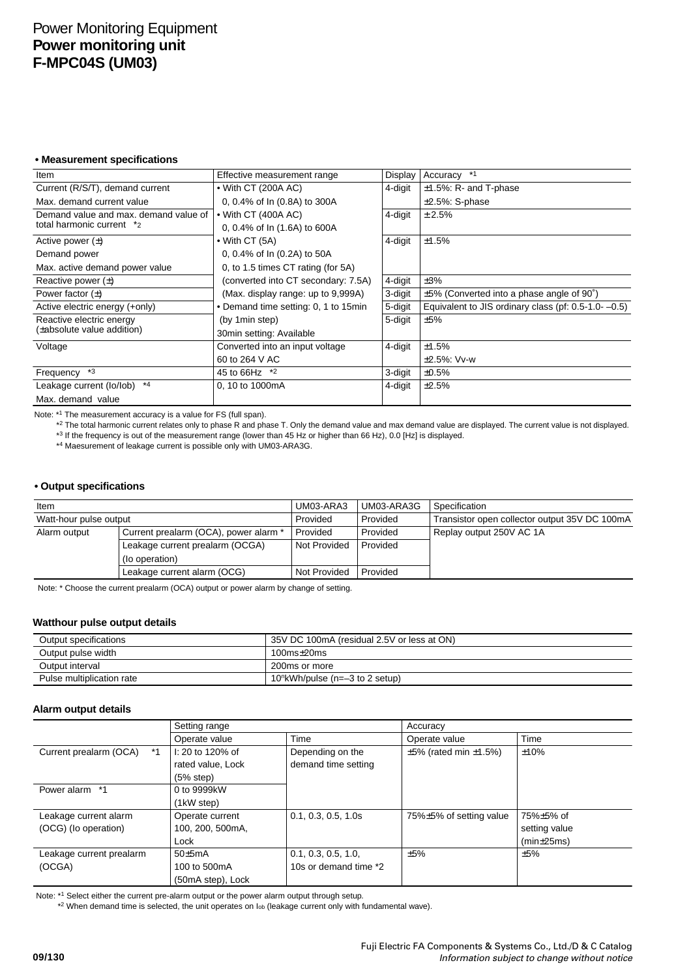# Power Monitoring Equipment **Power monitoring unit F-MPC04S (UM03)**

**• Measurement specifications**

| Item                                  | Effective measurement range          | Display | Accuracy *1                                                |
|---------------------------------------|--------------------------------------|---------|------------------------------------------------------------|
| Current (R/S/T), demand current       | $\bullet$ With CT (200A AC)          | 4-digit | $±1.5\%$ : R- and T-phase                                  |
| Max, demand current value             | 0, 0.4% of In (0.8A) to 300A         |         | $\pm 2.5\%$ : S-phase                                      |
| Demand value and max, demand value of | $\bullet$ With CT (400A AC)          | 4-digit | ± 2.5%                                                     |
| total harmonic current *2             | 0, 0.4% of In (1.6A) to 600A         |         |                                                            |
| Active power $(\pm)$                  | $\bullet$ With CT (5A)               | 4-digit | ±1.5%                                                      |
| Demand power                          | 0, 0.4% of In (0.2A) to 50A          |         |                                                            |
| Max. active demand power value        | 0, to 1.5 times CT rating (for 5A)   |         |                                                            |
| Reactive power $(\pm)$                | (converted into CT secondary: 7.5A)  | 4-digit | ±3%                                                        |
| Power factor $(\pm)$                  | (Max. display range: up to 9,999A)   | 3-digit | $\pm 5\%$ (Converted into a phase angle of 90°)            |
| Active electric energy (+only)        | • Demand time setting: 0, 1 to 15min | 5-digit | Equivalent to JIS ordinary class (pf: $0.5$ -1.0- $-0.5$ ) |
| Reactive electric energy              | (by 1 min step)                      | 5-digit | ±5%                                                        |
| (±absolute value addition)            | 30min setting: Available             |         |                                                            |
| Voltage                               | Converted into an input voltage      | 4-digit | ±1.5%                                                      |
|                                       | 60 to 264 V AC                       |         | $±2.5\%$ : Vv-w                                            |
| $*3$<br>Frequency                     | 45 to 66Hz $*2$                      | 3-digit | ±0.5%                                                      |
| $*4$<br>Leakage current (lo/lob)      | 0, 10 to 1000mA                      | 4-digit | ±2.5%                                                      |
| Max. demand value                     |                                      |         |                                                            |

Note: \*1 The measurement accuracy is a value for FS (full span).

\*2 The total harmonic current relates only to phase R and phase T. Only the demand value and max demand value are displayed. The current value is not displayed. \*3 If the frequency is out of the measurement range (lower than 45 Hz or higher than 66 Hz), 0.0 [Hz] is displayed.

\*4 Maesurement of leakage current is possible only with UM03-ARA3G.

## **• Output specifications**

| Item                            |                                       | UM03-ARA3    | UM03-ARA3G | Specification                                 |
|---------------------------------|---------------------------------------|--------------|------------|-----------------------------------------------|
| Watt-hour pulse output          |                                       | Provided     | Provided   | Transistor open collector output 35V DC 100mA |
| Alarm output                    | Current prealarm (OCA), power alarm * | Provided     | Provided   | Replay output 250V AC 1A                      |
| Leakage current prealarm (OCGA) |                                       | Not Provided | Provided   |                                               |
|                                 | (lo operation)                        |              |            |                                               |
|                                 | Leakage current alarm (OCG)           | Not Provided | Provided   |                                               |

Note: \* Choose the current prealarm (OCA) output or power alarm by change of setting.

#### **Watthour pulse output details**

| Output specifications     | 35V DC 100mA (residual 2.5V or less at ON)     |  |
|---------------------------|------------------------------------------------|--|
| Output pulse width        | $100ms+20ms$                                   |  |
| Output interval           | 200ms or more                                  |  |
| Pulse multiplication rate | 10 <sup>n</sup> kWh/pulse (n= $-3$ to 2 setup) |  |

## **Alarm output details**

|                              | Setting range     |                       | Accuracy                           |               |
|------------------------------|-------------------|-----------------------|------------------------------------|---------------|
|                              | Operate value     | Time                  | Operate value                      | Time          |
| Current prealarm (OCA)<br>*1 | I: 20 to 120% of  | Depending on the      | $\pm 5\%$ (rated min $\pm 1.5\%$ ) | ±10%          |
|                              | rated value. Lock | demand time setting   |                                    |               |
|                              | (5% step)         |                       |                                    |               |
| Power alarm *1               | 0 to 9999kW       |                       |                                    |               |
|                              | (1kW step)        |                       |                                    |               |
| Leakage current alarm        | Operate current   | 0.1, 0.3, 0.5, 1.0s   | 75%±5% of setting value            | 75%±5% of     |
| (OCG) (lo operation)         | 100, 200, 500mA,  |                       |                                    | setting value |
|                              | Lock              |                       |                                    | (min±25ms)    |
| Leakage current prealarm     | $50+5mA$          | 0.1, 0.3, 0.5, 1.0,   | ±5%                                | ±5%           |
| (OCGA)                       | 100 to 500mA      | 10s or demand time *2 |                                    |               |
|                              | (50mA step), Lock |                       |                                    |               |

Note: \*1 Select either the current pre-alarm output or the power alarm output through setup.

\*2 When demand time is selected, the unit operates on Iob (leakage current only with fundamental wave).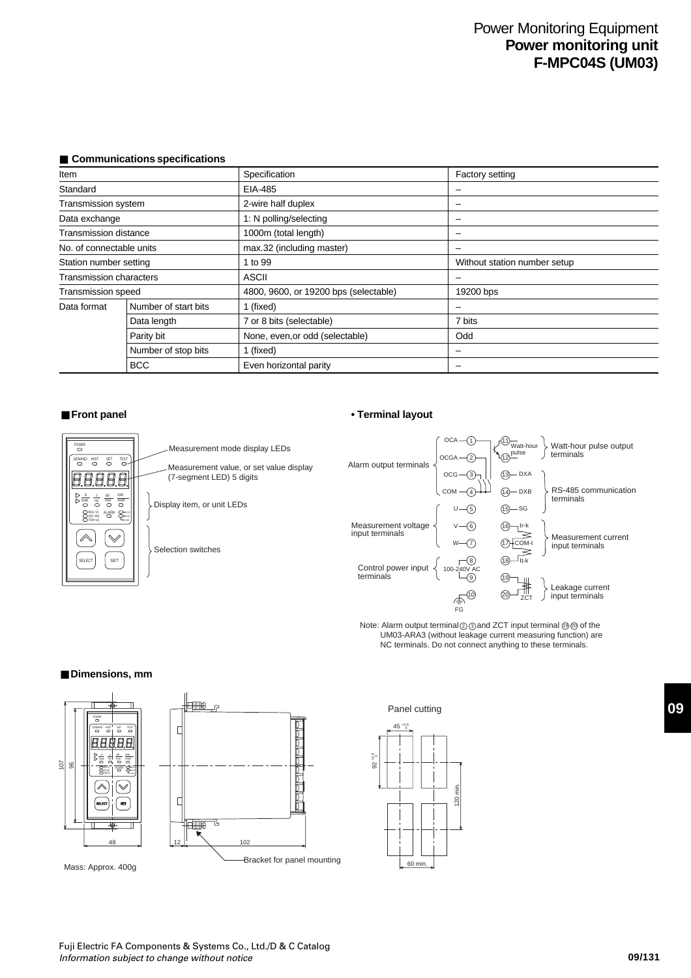# Power Monitoring Equipment **Power monitoring unit F-MPC04S (UM03)**

| <b>Communications specifications</b> |  |
|--------------------------------------|--|
|--------------------------------------|--|

| Item                     |                      | Specification                         | Factory setting              |
|--------------------------|----------------------|---------------------------------------|------------------------------|
| Standard                 |                      | EIA-485                               |                              |
| Transmission system      |                      | 2-wire half duplex                    |                              |
| Data exchange            |                      | 1: N polling/selecting                |                              |
| Transmission distance    |                      | 1000m (total length)                  | $\overline{\phantom{0}}$     |
| No. of connectable units |                      | max.32 (including master)             |                              |
| Station number setting   |                      | 1 to 99                               | Without station number setup |
| Transmission characters  |                      | <b>ASCII</b>                          |                              |
| Transmission speed       |                      | 4800, 9600, or 19200 bps (selectable) | 19200 bps                    |
| Data format              | Number of start bits | 1 (fixed)                             |                              |
| Data length              |                      | 7 or 8 bits (selectable)              | 7 bits                       |
|                          | Parity bit           | None, even, or odd (selectable)       | Odd                          |
|                          | Number of stop bits  | 1 (fixed)                             |                              |
|                          | <b>BCC</b>           | Even horizontal parity                | -                            |



Measurement mode display LEDs Measurement value, or set value display (7-segment LED) 5 digits

Display item, or unit LEDs

Selection switches

## ■ **Front panel** ● **• Terminal layout**



Note: Alarm output terminal  $\textcircled{2}$  and ZCT input terminal  $\textcircled{9}$  of the UM03-ARA3 (without leakage current measuring function) are NC terminals. Do not connect anything to these terminals.

#### ■ Dimensions, mm



96 107



**09**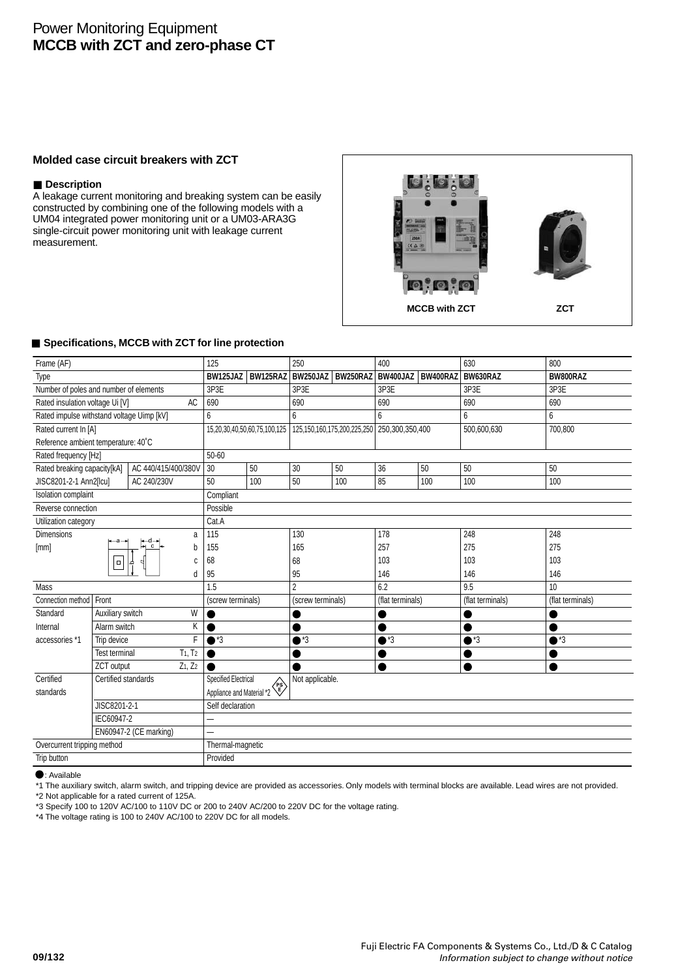# Power Monitoring Equipment **MCCB with ZCT and zero-phase CT**

## **Molded case circuit breakers with ZCT**

## ■ **Description**

A leakage current monitoring and breaking system can be easily constructed by combining one of the following models with a UM04 integrated power monitoring unit or a UM03-ARA3G single-circuit power monitoring unit with leakage current measurement.



## ■ **Specifications, MCCB with ZCT for line protection**

| Frame (AF)                                |                      |                     | 125                         |                              | 250               |                                   | 400               |     | 630              | 800              |
|-------------------------------------------|----------------------|---------------------|-----------------------------|------------------------------|-------------------|-----------------------------------|-------------------|-----|------------------|------------------|
| Type                                      |                      |                     | BW125JAZ                    | BW125RAZ                     | BW250JAZ          | BW250RAZ                          | BW400JAZ BW400RAZ |     | BW630RAZ         | BW800RAZ         |
| Number of poles and number of elements    |                      |                     | 3P3E                        |                              | 3P3E              |                                   | 3P3E              |     | 3P3E             | 3P3E             |
| Rated insulation voltage Ui [V]           |                      | <b>AC</b>           | 690                         |                              | 690               |                                   | 690               |     | 690              | 690              |
| Rated impulse withstand voltage Uimp [kV] |                      |                     | 6                           |                              | 6                 |                                   | 6                 |     | 6                | 6                |
| Rated current In [A]                      |                      |                     |                             | 15,20,30,40,50,60,75,100,125 |                   | 125, 150, 160, 175, 200, 225, 250 | 250,300,350,400   |     | 500,600,630      | 700,800          |
| Reference ambient temperature: 40°C       |                      |                     |                             |                              |                   |                                   |                   |     |                  |                  |
| Rated frequency [Hz]                      |                      |                     | 50-60                       |                              |                   |                                   |                   |     |                  |                  |
| Rated breaking capacity[kA]               |                      | AC 440/415/400/380V | 30                          | 50                           | 30                | 50                                | 36                | 50  | 50               | 50               |
| JISC8201-2-1 Ann2[Icu]                    |                      | AC 240/230V         | 50                          | 100                          | 50                | 100                               | 85                | 100 | 100              | 100              |
| <b>Isolation complaint</b>                |                      |                     | Compliant                   |                              |                   |                                   |                   |     |                  |                  |
| Reverse connection                        |                      |                     | Possible                    |                              |                   |                                   |                   |     |                  |                  |
| Utilization category                      |                      |                     | Cat.A                       |                              |                   |                                   |                   |     |                  |                  |
| <b>Dimensions</b>                         |                      | a                   | 115                         |                              | 130               |                                   | 178               |     | 248              | 248              |
| [mm]                                      |                      | –d—•<br>⊣ c<br>b    | 155                         |                              | 165               |                                   | 257               |     | 275              | 275              |
|                                           | $\Box$               |                     | 68<br>C                     |                              | 68                |                                   | 103               |     | 103              | 103              |
|                                           |                      |                     | 95<br>d                     |                              | 95                |                                   | 146               |     | 146              | 146              |
| Mass                                      |                      |                     | 1.5                         |                              | $\overline{2}$    |                                   | 6.2               |     | 9.5              | 10               |
| Connection method                         | Front                |                     | (screw terminals)           |                              | (screw terminals) |                                   | (flat terminals)  |     | (flat terminals) | (flat terminals) |
| Standard                                  | Auxiliary switch     | W                   |                             |                              |                   |                                   |                   |     |                  |                  |
| Internal                                  | Alarm switch         | Κ                   |                             |                              |                   |                                   |                   |     |                  |                  |
| accessories *1                            | Trip device          |                     | F<br>$\bullet$ *3           |                              | $^*3$             |                                   | $^*3$             |     | $\bullet$ *3     | $\bullet$ *3     |
|                                           | <b>Test terminal</b> | $T_1, T_2$          |                             |                              |                   |                                   |                   |     |                  |                  |
|                                           | ZCT output           | $Z_1, Z_2$          |                             |                              |                   |                                   | Ω                 |     | ●                |                  |
| Certified                                 | Certified standards  |                     | <b>Specified Electrical</b> |                              | Not applicable.   |                                   |                   |     |                  |                  |
| standards                                 |                      |                     |                             | Appliance and Material *2    |                   |                                   |                   |     |                  |                  |
| JISC8201-2-1                              |                      |                     | Self declaration            |                              |                   |                                   |                   |     |                  |                  |
| IEC60947-2                                |                      | —                   |                             |                              |                   |                                   |                   |     |                  |                  |
| EN60947-2 (CE marking)                    |                      |                     | L.                          |                              |                   |                                   |                   |     |                  |                  |
| Overcurrent tripping method               |                      |                     |                             | Thermal-magnetic             |                   |                                   |                   |     |                  |                  |
| Trip button                               |                      |                     | Provided                    |                              |                   |                                   |                   |     |                  |                  |

 $\bullet$ : Available

\*1 The auxiliary switch, alarm switch, and tripping device are provided as accessories. Only models with terminal blocks are available. Lead wires are not provided.

\*2 Not applicable for a rated current of 125A.

\*3 Specify 100 to 120V AC/100 to 110V DC or 200 to 240V AC/200 to 220V DC for the voltage rating.

\*4 The voltage rating is 100 to 240V AC/100 to 220V DC for all models.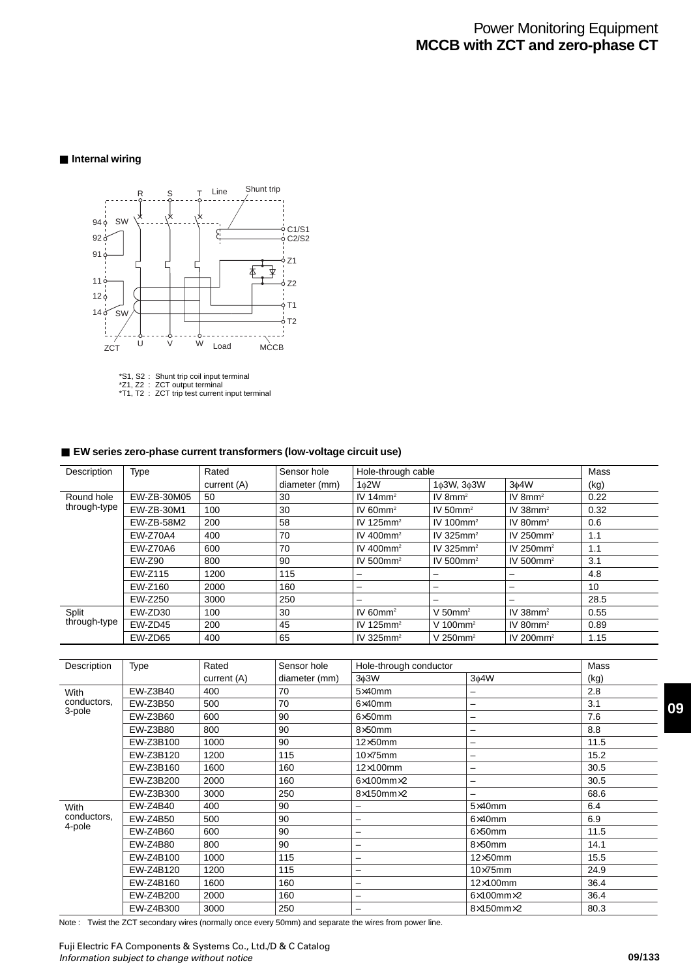# Power Monitoring Equipment **MCCB with ZCT and zero-phase CT**

## ■ **Internal wiring**



\*S1, S2 : Shunt trip coil input terminal \*Z1, Z2 : ZCT output terminal \*T1, T2 : ZCT trip test current input terminal

## ■ **EW** series zero-phase current transformers (low-voltage circuit use)

| Description  | Type            | Rated       | Sensor hole   | Hole-through cable       |                          |                          |      |  |
|--------------|-----------------|-------------|---------------|--------------------------|--------------------------|--------------------------|------|--|
|              |                 | current (A) | diameter (mm) | $1\phi2W$                | 1¢3W, 3¢3W               | 3 <sub>0</sub> 4W        | (kg) |  |
| Round hole   | EW-ZB-30M05     | 50          | 30            | IV 14 $mm2$              | IV 8 $mm2$               | IV $8mm^2$               | 0.22 |  |
| through-type | EW-ZB-30M1      | 100         | 30            | IV 60 $mm2$              | IV 50 $mm2$              | IV $38$ mm <sup>2</sup>  | 0.32 |  |
|              | EW-ZB-58M2      | 200         | 58            | IV 125 $mm2$             | IV 100 $mm2$             | IV 80 $mm2$              | 0.6  |  |
|              | <b>EW-Z70A4</b> | 400         | 70            | IV 400 $mm2$             | IV 325 $mm2$             | IV 250 $mm2$             | 1.1  |  |
|              | EW-Z70A6        | 600         | 70            | IV 400 $mm2$             | IV 325 $mm2$             | IV 250 $mm2$             | 1.1  |  |
|              | EW-Z90          | 800         | 90            | IV 500 $mm2$             | IV 500 $mm2$             | IV 500 $mm2$             | 3.1  |  |
|              | EW-Z115         | 1200        | 115           | -                        | $\overline{\phantom{0}}$ | -                        | 4.8  |  |
|              | EW-Z160         | 2000        | 160           | -                        | $\overline{\phantom{0}}$ | -                        | 10   |  |
|              | EW-Z250         | 3000        | 250           | $\overline{\phantom{0}}$ | $\overline{\phantom{0}}$ | $\overline{\phantom{0}}$ | 28.5 |  |
| Split        | EW-ZD30         | 100         | 30            | IV 60 $mm2$              | V 50 $mm2$               | IV $38$ mm <sup>2</sup>  | 0.55 |  |
| through-type | EW-ZD45         | 200         | 45            | IV 125 $mm2$             | V 100 $mm2$              | IV 80 $mm2$              | 0.89 |  |
|              | EW-ZD65         | 400         | 65            | IV 325 $mm2$             | V 250 $mm2$              | IV 200 $mm2$             | 1.15 |  |

| Description | Type      | Rated       | Sensor hole   | Hole-through conductor    | Mass                      |      |
|-------------|-----------|-------------|---------------|---------------------------|---------------------------|------|
|             |           | current (A) | diameter (mm) | 3 <sub>0</sub> 3W         | 3¢4W                      | (kg) |
| With        | EW-Z3B40  | 400         | 70            | $5\times40$ mm            | -                         | 2.8  |
| conductors, | EW-Z3B50  | 500         | 70            | $6\times40$ mm            |                           | 3.1  |
| 3-pole      | EW-Z3B60  | 600         | 90            | $6\times50$ mm            | -                         | 7.6  |
|             | EW-Z3B80  | 800         | 90            | $8\times50$ mm            | -                         | 8.8  |
|             | EW-Z3B100 | 1000        | 90            | $12\times50$ mm           | -                         | 11.5 |
|             | EW-Z3B120 | 1200        | 115           | $10\times 75$ mm          | —                         | 15.2 |
|             | EW-Z3B160 | 1600        | 160           | $12\times100$ mm          | -                         | 30.5 |
|             | EW-Z3B200 | 2000        | 160           | $6\times100$ mm $\times2$ | -                         | 30.5 |
|             | EW-Z3B300 | 3000        | 250           | $8\times150$ mm $\times2$ | $\overline{\phantom{0}}$  | 68.6 |
| With        | EW-Z4B40  | 400         | 90            | -                         | $5\times40$ mm            | 6.4  |
| conductors, | EW-Z4B50  | 500         | 90            | -                         | $6\times40$ mm            | 6.9  |
| 4-pole      | EW-Z4B60  | 600         | 90            | -                         | $6\times50$ mm            | 11.5 |
|             | EW-Z4B80  | 800         | 90            | $\overline{\phantom{0}}$  | $8\times50$ mm            | 14.1 |
|             | EW-Z4B100 | 1000        | 115           | $\overline{\phantom{0}}$  | $12\times50$ mm           | 15.5 |
|             | EW-Z4B120 | 1200        | 115           | -                         | $10\times 75$ mm          | 24.9 |
|             | EW-Z4B160 | 1600        | 160           |                           | $12\times100$ mm          | 36.4 |
|             | EW-Z4B200 | 2000        | 160           | $\overline{\phantom{0}}$  | $6\times100$ mm $\times2$ | 36.4 |
|             | EW-Z4B300 | 3000        | 250           | -                         | $8\times150$ mm $\times2$ | 80.3 |

Note : Twist the ZCT secondary wires (normally once every 50mm) and separate the wires from power line.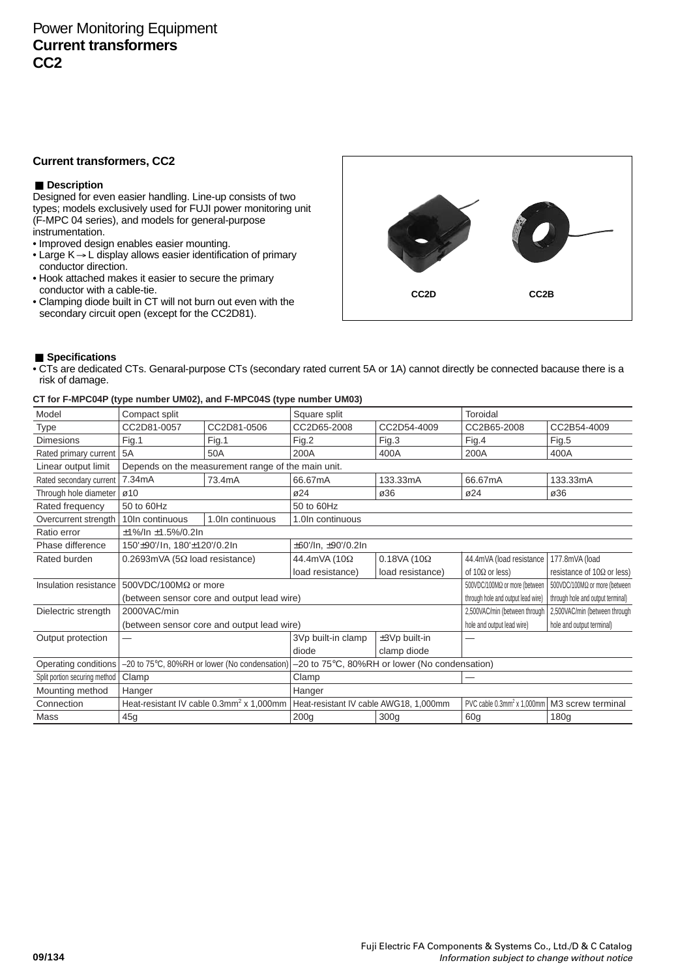## **Current transformers, CC2**

## ■ **Description**

Designed for even easier handling. Line-up consists of two types; models exclusively used for FUJI power monitoring unit (F-MPC 04 series), and models for general-purpose instrumentation.

- Improved design enables easier mounting.
- Large K → L display allows easier identification of primary conductor direction.
- Hook attached makes it easier to secure the primary conductor with a cable-tie.
- Clamping diode built in CT will not burn out even with the secondary circuit open (except for the CC2D81).



## ■ **Specifications**

• CTs are dedicated CTs. Genaral-purpose CTs (secondary rated current 5A or 1A) cannot directly be connected bacause there is a risk of damage.

|                               |                                           | $\cdots$                                             |                                               |                        |                                           |                                    |  |
|-------------------------------|-------------------------------------------|------------------------------------------------------|-----------------------------------------------|------------------------|-------------------------------------------|------------------------------------|--|
| Model                         | Compact split                             |                                                      | Square split                                  |                        | Toroidal                                  |                                    |  |
| <b>Type</b>                   | CC2D81-0057                               | CC2D81-0506                                          | CC2D65-2008                                   | CC2D54-4009            | CC2B65-2008                               | CC2B54-4009                        |  |
| <b>Dimesions</b>              | Fig.1                                     | Fig.1                                                | Fig.2                                         | Fig.3                  | Fig.4                                     | Fig.5                              |  |
| Rated primary current         | 5A                                        | 50A                                                  | 200A                                          | 400A                   | 200A                                      | 400A                               |  |
| Linear output limit           |                                           | Depends on the measurement range of the main unit.   |                                               |                        |                                           |                                    |  |
| Rated secondary current       | 7.34mA                                    | 73.4mA                                               | 66.67mA                                       | 133.33mA               | 66.67mA                                   | 133.33mA                           |  |
| Through hole diameter         | $\varnothing$ 10                          |                                                      | $\varnothing$ 24                              | ø36                    | ø24                                       | ø36                                |  |
| Rated frequency               | 50 to 60Hz                                |                                                      | 50 to 60Hz                                    |                        |                                           |                                    |  |
| Overcurrent strength          | 10In continuous                           | 1.0In continuous                                     | 1.0In continuous                              |                        |                                           |                                    |  |
| Ratio error                   | $±1\%/ln ±1.5\%/0.2ln$                    |                                                      |                                               |                        |                                           |                                    |  |
| Phase difference              | 150'±90'/In, 180'±120'/0.2In              |                                                      | ±60'/In, ±90'/0.2In                           |                        |                                           |                                    |  |
| Rated burden                  | $0.2693$ mVA (5 $\Omega$ load resistance) |                                                      | 44.4mVA (10Ω                                  | $0.18$ VA (10 $\Omega$ | 44.4mVA (load resistance                  | 177.8mVA (load                     |  |
|                               |                                           |                                                      | load resistance)                              | load resistance)       | of 10 $\Omega$ or less)                   | resistance of 10 $\Omega$ or less) |  |
| Insulation resistance         | 500VDC/100M $\Omega$ or more              |                                                      |                                               |                        | 500VDC/100MΩ or more (between             | 500VDC/100MΩ or more (between      |  |
|                               |                                           | (between sensor core and output lead wire)           |                                               |                        | through hole and output lead wire)        | through hole and output terminal)  |  |
| Dielectric strength           | 2000VAC/min                               |                                                      |                                               |                        | 2,500VAC/min (between through             | 2,500VAC/min (between through      |  |
|                               |                                           | (between sensor core and output lead wire)           |                                               |                        | hole and output lead wire)                | hole and output terminal)          |  |
| Output protection             |                                           |                                                      | 3Vp built-in clamp                            | ±3Vp built-in          |                                           |                                    |  |
|                               |                                           |                                                      | diode                                         | clamp diode            |                                           |                                    |  |
| Operating conditions          |                                           | -20 to 75°C, 80%RH or lower (No condensation)        | -20 to 75°C, 80%RH or lower (No condensation) |                        |                                           |                                    |  |
| Split portion securing method | Clamp                                     |                                                      | Clamp                                         |                        |                                           |                                    |  |
| Mounting method               | Hanger                                    |                                                      | Hanger                                        |                        |                                           |                                    |  |
| Connection                    |                                           | Heat-resistant IV cable 0.3mm <sup>2</sup> x 1,000mm | Heat-resistant IV cable AWG18, 1,000mm        |                        | PVC cable $0.3$ mm <sup>2</sup> x 1,000mm | M3 screw terminal                  |  |
| Mass                          | 45 <sub>q</sub>                           |                                                      | 200q                                          | 300 <sub>g</sub>       | 60g                                       | 180q                               |  |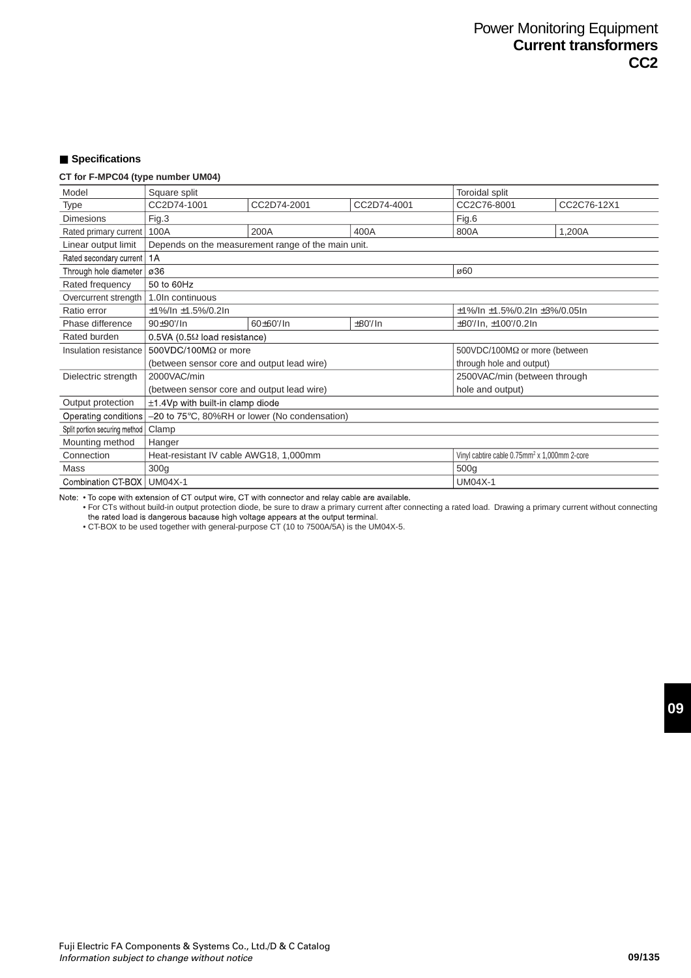## ■ **Specifications**

## **CT for F-MPC04 (type number UM04)**

| Model                         | Square split                                                                                          |                                                    |               | Toroidal split                               |             |  |  |
|-------------------------------|-------------------------------------------------------------------------------------------------------|----------------------------------------------------|---------------|----------------------------------------------|-------------|--|--|
| Type                          | CC2D74-1001                                                                                           | CC2D74-2001                                        | CC2D74-4001   | CC2C76-8001                                  | CC2C76-12X1 |  |  |
| <b>Dimesions</b>              | Fig.3                                                                                                 |                                                    |               | Fig.6                                        |             |  |  |
| Rated primary current         | 100A                                                                                                  | 200A                                               | 400A          | 800A                                         | 1,200A      |  |  |
| Linear output limit           |                                                                                                       | Depends on the measurement range of the main unit. |               |                                              |             |  |  |
| Rated secondary current   1A  |                                                                                                       |                                                    |               |                                              |             |  |  |
| Through hole diameter         | ø36                                                                                                   |                                                    |               | ø60                                          |             |  |  |
| Rated frequency               | 50 to 60Hz                                                                                            |                                                    |               |                                              |             |  |  |
| Overcurrent strength          | 1.0In continuous                                                                                      |                                                    |               |                                              |             |  |  |
| Ratio error                   | $±1\%/ln ±1.5\%/0.2ln$                                                                                |                                                    |               | $\pm$ 1%/ln $\pm$ 1.5%/0.2ln $\pm$ 3%/0.05ln |             |  |  |
| Phase difference              | $90+90'/\ln$                                                                                          | $60+60$ <sup>'</sup> /ln                           | $\pm 80$ '/In | $\pm 80$ '/ln, $\pm 100$ '/0.2ln             |             |  |  |
| Rated burden                  | $0.5VA$ (0.5 $\Omega$ load resistance)                                                                |                                                    |               |                                              |             |  |  |
| Insulation resistance         | 500VDC/100M $\Omega$ or more<br>500VDC/100MΩ or more (between                                         |                                                    |               |                                              |             |  |  |
|                               | (between sensor core and output lead wire)                                                            |                                                    |               | through hole and output)                     |             |  |  |
| Dielectric strength           | 2000VAC/min                                                                                           |                                                    |               | 2500VAC/min (between through                 |             |  |  |
|                               | (between sensor core and output lead wire)                                                            |                                                    |               | hole and output)                             |             |  |  |
| Output protection             | $\pm$ 1.4Vp with built-in clamp diode                                                                 |                                                    |               |                                              |             |  |  |
| Operating conditions          |                                                                                                       | -20 to 75°C, 80%RH or lower (No condensation)      |               |                                              |             |  |  |
| Split portion securing method | Clamp                                                                                                 |                                                    |               |                                              |             |  |  |
| Mounting method               | Hanger                                                                                                |                                                    |               |                                              |             |  |  |
| Connection                    | Vinyl cabtire cable $0.75$ mm <sup>2</sup> x 1,000mm 2-core<br>Heat-resistant IV cable AWG18, 1,000mm |                                                    |               |                                              |             |  |  |
| Mass                          | 300 <sub>q</sub><br>500 <sub>g</sub>                                                                  |                                                    |               |                                              |             |  |  |
| <b>Combination CT-BOX</b>     | <b>UM04X-1</b><br>$UM04X-1$                                                                           |                                                    |               |                                              |             |  |  |

Note: . To cope with extension of CT output wire, CT with connector and relay cable are available.

• For CTs without build-in output protection diode, be sure to draw a primary current after connecting a rated load. Drawing a primary current without connecting • CT-BOX to be used together with general-purpose CT (10 to 7500A/5A) is the UM04X-5.<br>• CT-BOX to be used together with general-purpose CT (10 to 7500A/5A) is the UM04X-5.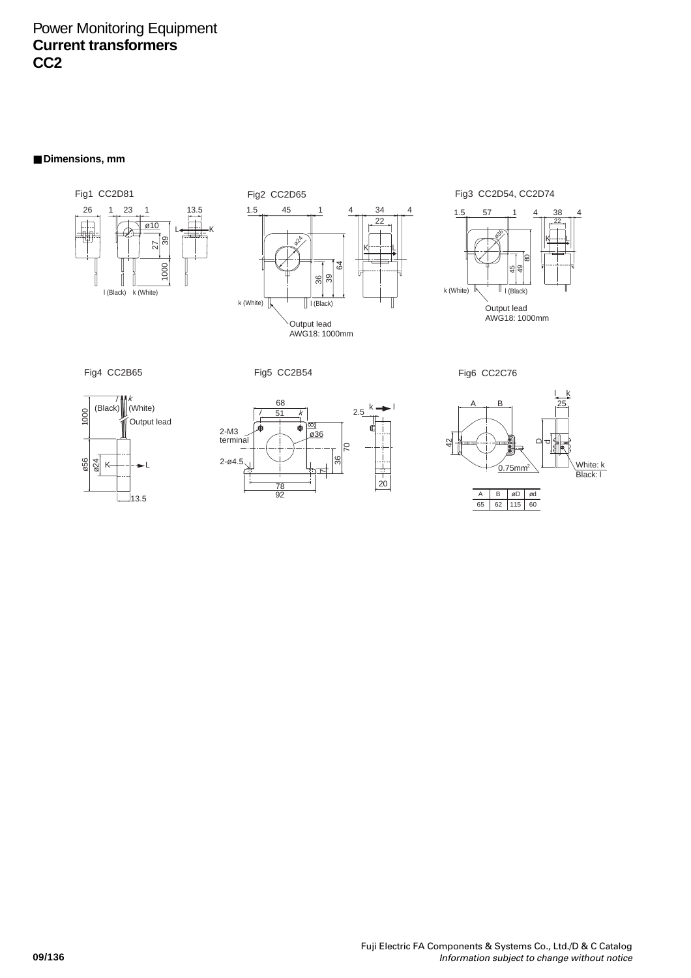# Power Monitoring Equipment **Current transformers CC2**

■ **Dimensions**, mm







Fig4 CC2B65 Fig5 CC2B54









| c. |  |
|----|--|
|    |  |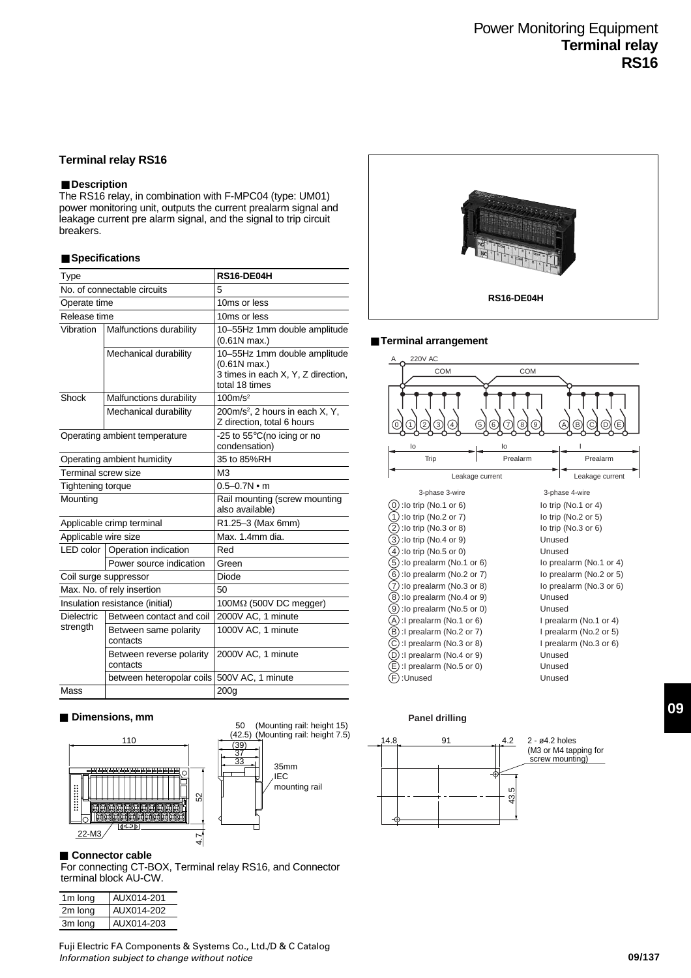## **Terminal relay RS16**

## ■ **Description**

The RS16 relay, in combination with F-MPC04 (type: UM01) power monitoring unit, outputs the current prealarm signal and leakage current pre alarm signal, and the signal to trip circuit breakers.

#### ■ Specifications

| <b>Type</b>              |                                      | RS16-DE04H                                                                                             |  |  |
|--------------------------|--------------------------------------|--------------------------------------------------------------------------------------------------------|--|--|
|                          | No. of connectable circuits          | 5                                                                                                      |  |  |
| Operate time             |                                      | 10ms or less                                                                                           |  |  |
| Release time             |                                      | 10ms or less                                                                                           |  |  |
| Vibration                | Malfunctions durability              | 10-55Hz 1mm double amplitude<br>$(0.61N$ max.)                                                         |  |  |
|                          | Mechanical durability                | 10-55Hz 1mm double amplitude<br>$(0.61N$ max.)<br>3 times in each X, Y, Z direction,<br>total 18 times |  |  |
| Shock                    | Malfunctions durability              | 100m/s <sup>2</sup>                                                                                    |  |  |
|                          | Mechanical durability                | 200m/s <sup>2</sup> , 2 hours in each X, Y,<br>Z direction, total 6 hours                              |  |  |
|                          | Operating ambient temperature        | -25 to 55°C(no icing or no<br>condensation)                                                            |  |  |
|                          | Operating ambient humidity           | 35 to 85%RH                                                                                            |  |  |
| Terminal screw size      |                                      | M <sub>3</sub>                                                                                         |  |  |
| <b>Tightening torque</b> |                                      | $0.5 - 0.7N \cdot m$                                                                                   |  |  |
| Mounting                 |                                      | Rail mounting (screw mounting<br>also available)                                                       |  |  |
|                          | Applicable crimp terminal            | R1.25-3 (Max 6mm)                                                                                      |  |  |
| Applicable wire size     |                                      | Max. 1.4mm dia.                                                                                        |  |  |
|                          | LED color   Operation indication     | Red                                                                                                    |  |  |
|                          | Power source indication              | Green                                                                                                  |  |  |
|                          | Coil surge suppressor                | Diode                                                                                                  |  |  |
|                          | Max. No. of rely insertion           | 50                                                                                                     |  |  |
|                          | Insulation resistance (initial)      | $100M\Omega$ (500V DC megger)                                                                          |  |  |
| <b>Dielectric</b>        | Between contact and coil             | 2000V AC, 1 minute                                                                                     |  |  |
| strength                 | Between same polarity<br>contacts    | 1000V AC, 1 minute                                                                                     |  |  |
|                          | Between reverse polarity<br>contacts | 2000V AC, 1 minute                                                                                     |  |  |
|                          | between heteropolar coils            | 500V AC, 1 minute                                                                                      |  |  |
| Mass                     |                                      | 200q                                                                                                   |  |  |

#### ■ **Dimensions, mm**



#### ■ **Connector cable**

For connecting CT-BOX, Terminal relay RS16, and Connector terminal block AU-CW.

| 1m long | AUX014-201 |
|---------|------------|
| 2m long | AUX014-202 |
| 3m long | AUX014-203 |





#### ■ **Terminal arrangement**



### **Panel drilling**



(M3 or M4 tapping for screw mounting)